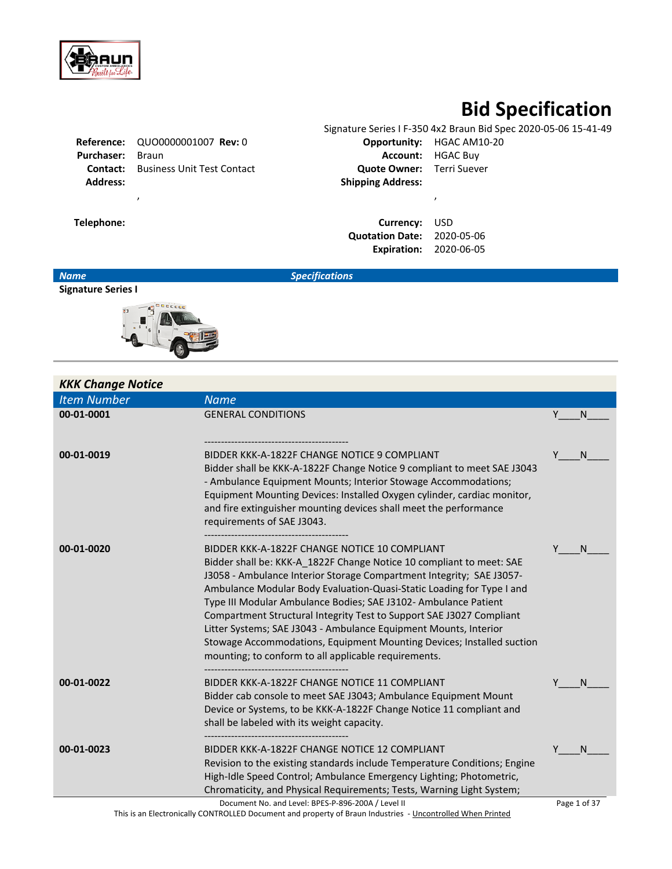

# **Bid Specification**

|                   |                                            |                                  | Signature Series I F-350 4x2 Braun Bid Spec 2020-05-06 15-41-49 |
|-------------------|--------------------------------------------|----------------------------------|-----------------------------------------------------------------|
|                   | <b>Reference: QUO0000001007 Rev: 0</b>     |                                  | <b>Opportunity: HGAC AM10-20</b>                                |
| <b>Purchaser:</b> | Braun                                      |                                  | <b>Account: HGAC Buy</b>                                        |
|                   | <b>Contact:</b> Business Unit Test Contact | <b>Quote Owner:</b> Terri Suever |                                                                 |
| <b>Address:</b>   |                                            | <b>Shipping Address:</b>         |                                                                 |
|                   |                                            |                                  |                                                                 |
| Telephone:        |                                            | Currency:                        | USD                                                             |

| Currency:              | <b>USD</b> |
|------------------------|------------|
| <b>Quotation Date:</b> | 2020-05-06 |
| <b>Expiration:</b>     | 2020-06-05 |

*Name Specifications*

# **Signature Series I**



|                    | <b>KKK Change Notice</b> |                                                                                                                                                                                                                                                                                                                                                                                                                                                                                                                                                                                                                        |   |              |
|--------------------|--------------------------|------------------------------------------------------------------------------------------------------------------------------------------------------------------------------------------------------------------------------------------------------------------------------------------------------------------------------------------------------------------------------------------------------------------------------------------------------------------------------------------------------------------------------------------------------------------------------------------------------------------------|---|--------------|
| <b>Item Number</b> |                          | <b>Name</b>                                                                                                                                                                                                                                                                                                                                                                                                                                                                                                                                                                                                            |   |              |
| 00-01-0001         |                          | <b>GENERAL CONDITIONS</b>                                                                                                                                                                                                                                                                                                                                                                                                                                                                                                                                                                                              | Y | N            |
|                    |                          |                                                                                                                                                                                                                                                                                                                                                                                                                                                                                                                                                                                                                        |   |              |
| 00-01-0019         |                          | BIDDER KKK-A-1822F CHANGE NOTICE 9 COMPLIANT<br>Bidder shall be KKK-A-1822F Change Notice 9 compliant to meet SAE J3043<br>- Ambulance Equipment Mounts; Interior Stowage Accommodations;<br>Equipment Mounting Devices: Installed Oxygen cylinder, cardiac monitor,<br>and fire extinguisher mounting devices shall meet the performance<br>requirements of SAE J3043.                                                                                                                                                                                                                                                | Υ | N            |
| 00-01-0020         |                          | BIDDER KKK-A-1822F CHANGE NOTICE 10 COMPLIANT<br>Bidder shall be: KKK-A_1822F Change Notice 10 compliant to meet: SAE<br>J3058 - Ambulance Interior Storage Compartment Integrity; SAE J3057-<br>Ambulance Modular Body Evaluation-Quasi-Static Loading for Type I and<br>Type III Modular Ambulance Bodies; SAE J3102- Ambulance Patient<br>Compartment Structural Integrity Test to Support SAE J3027 Compliant<br>Litter Systems; SAE J3043 - Ambulance Equipment Mounts, Interior<br>Stowage Accommodations, Equipment Mounting Devices; Installed suction<br>mounting; to conform to all applicable requirements. |   | N            |
| 00-01-0022         |                          | BIDDER KKK-A-1822F CHANGE NOTICE 11 COMPLIANT<br>Bidder cab console to meet SAE J3043; Ambulance Equipment Mount<br>Device or Systems, to be KKK-A-1822F Change Notice 11 compliant and<br>shall be labeled with its weight capacity.                                                                                                                                                                                                                                                                                                                                                                                  |   | N            |
| 00-01-0023         |                          | BIDDER KKK-A-1822F CHANGE NOTICE 12 COMPLIANT<br>Revision to the existing standards include Temperature Conditions; Engine<br>High-Idle Speed Control; Ambulance Emergency Lighting; Photometric,<br>Chromaticity, and Physical Requirements; Tests, Warning Light System;                                                                                                                                                                                                                                                                                                                                             |   | N            |
|                    |                          | Document No. and Level: BPES-P-896-200A / Level II<br>This is an Electronically CONTROLLED Document and property of Braun Industries - Uncontrolled When Printed                                                                                                                                                                                                                                                                                                                                                                                                                                                       |   | Page 1 of 37 |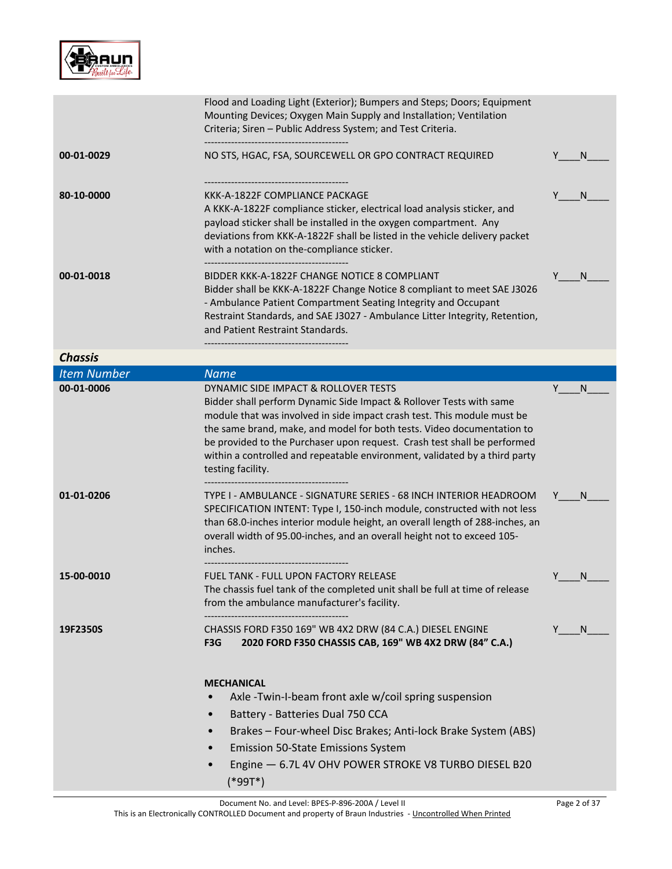

|                    | Flood and Loading Light (Exterior); Bumpers and Steps; Doors; Equipment<br>Mounting Devices; Oxygen Main Supply and Installation; Ventilation<br>Criteria; Siren - Public Address System; and Test Criteria.                                                                                                                                                                                                                                    |         |
|--------------------|-------------------------------------------------------------------------------------------------------------------------------------------------------------------------------------------------------------------------------------------------------------------------------------------------------------------------------------------------------------------------------------------------------------------------------------------------|---------|
| 00-01-0029         | NO STS, HGAC, FSA, SOURCEWELL OR GPO CONTRACT REQUIRED                                                                                                                                                                                                                                                                                                                                                                                          | N.      |
| 80-10-0000         | KKK-A-1822F COMPLIANCE PACKAGE<br>A KKK-A-1822F compliance sticker, electrical load analysis sticker, and<br>payload sticker shall be installed in the oxygen compartment. Any<br>deviations from KKK-A-1822F shall be listed in the vehicle delivery packet<br>with a notation on the-compliance sticker.<br>-----------------------------------                                                                                               | N.      |
| 00-01-0018         | BIDDER KKK-A-1822F CHANGE NOTICE 8 COMPLIANT<br>Bidder shall be KKK-A-1822F Change Notice 8 compliant to meet SAE J3026<br>- Ambulance Patient Compartment Seating Integrity and Occupant<br>Restraint Standards, and SAE J3027 - Ambulance Litter Integrity, Retention,<br>and Patient Restraint Standards.                                                                                                                                    | N       |
| <b>Chassis</b>     |                                                                                                                                                                                                                                                                                                                                                                                                                                                 |         |
| <b>Item Number</b> | <b>Name</b>                                                                                                                                                                                                                                                                                                                                                                                                                                     |         |
| 00-01-0006         | DYNAMIC SIDE IMPACT & ROLLOVER TESTS<br>Bidder shall perform Dynamic Side Impact & Rollover Tests with same<br>module that was involved in side impact crash test. This module must be<br>the same brand, make, and model for both tests. Video documentation to<br>be provided to the Purchaser upon request. Crash test shall be performed<br>within a controlled and repeatable environment, validated by a third party<br>testing facility. | Y<br>N. |
| 01-01-0206         | TYPE I - AMBULANCE - SIGNATURE SERIES - 68 INCH INTERIOR HEADROOM<br>SPECIFICATION INTENT: Type I, 150-inch module, constructed with not less<br>than 68.0-inches interior module height, an overall length of 288-inches, an<br>overall width of 95.00-inches, and an overall height not to exceed 105-<br>inches.                                                                                                                             | N.      |
| 15-00-0010         | <b>FUEL TANK - FULL UPON FACTORY RELEASE</b><br>The chassis fuel tank of the completed unit shall be full at time of release<br>from the ambulance manufacturer's facility.                                                                                                                                                                                                                                                                     | N.      |
| 19F2350S           | CHASSIS FORD F350 169" WB 4X2 DRW (84 C.A.) DIESEL ENGINE<br>2020 FORD F350 CHASSIS CAB, 169" WB 4X2 DRW (84" C.A.)<br>F3G<br><b>MECHANICAL</b><br>Axle-Twin-I-beam front axle w/coil spring suspension<br>Battery - Batteries Dual 750 CCA<br>Brakes - Four-wheel Disc Brakes; Anti-lock Brake System (ABS)<br><b>Emission 50-State Emissions System</b><br>Engine - 6.7L 4V OHV POWER STROKE V8 TURBO DIESEL B20<br>$(*99T*)$                 | N.      |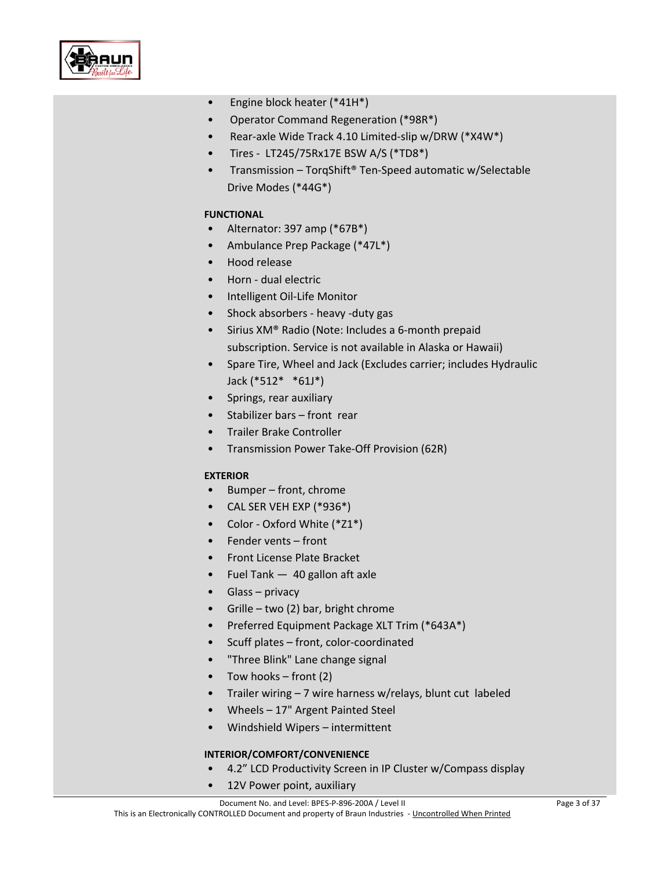

- Engine block heater (\*41H\*)
- Operator Command Regeneration (\*98R\*)
- Rear-axle Wide Track 4.10 Limited-slip w/DRW (\*X4W\*)
- Tires LT245/75Rx17E BSW A/S (\*TD8\*)
- Transmission TorgShift<sup>®</sup> Ten-Speed automatic w/Selectable Drive Modes (\*44G\*)

#### **FUNCTIONAL**

- Alternator: 397 amp (\*67B\*)
- Ambulance Prep Package (\*47L\*)
- Hood release
- Horn dual electric
- Intelligent Oil-Life Monitor
- Shock absorbers heavy -duty gas
- Sirius XM® Radio (Note: Includes a 6-month prepaid subscription. Service is not available in Alaska or Hawaii)
- Spare Tire, Wheel and Jack (Excludes carrier; includes Hydraulic Jack (\*512\* \*61J\*)
- Springs, rear auxiliary
- Stabilizer bars front rear
- Trailer Brake Controller
- Transmission Power Take-Off Provision (62R)

#### **EXTERIOR**

- Bumper front, chrome
- CAL SER VEH EXP (\*936\*)
- Color Oxford White (\*Z1\*)
- Fender vents front
- Front License Plate Bracket
- Fuel Tank 40 gallon aft axle
- Glass privacy
- Grille two (2) bar, bright chrome
- Preferred Equipment Package XLT Trim (\*643A\*)
- Scuff plates front, color-coordinated
- "Three Blink" Lane change signal
- Tow hooks front  $(2)$
- Trailer wiring 7 wire harness w/relays, blunt cut labeled
- Wheels 17" Argent Painted Steel
- Windshield Wipers intermittent

#### **INTERIOR/COMFORT/CONVENIENCE**

- 4.2" LCD Productivity Screen in IP Cluster w/Compass display
- 12V Power point, auxiliary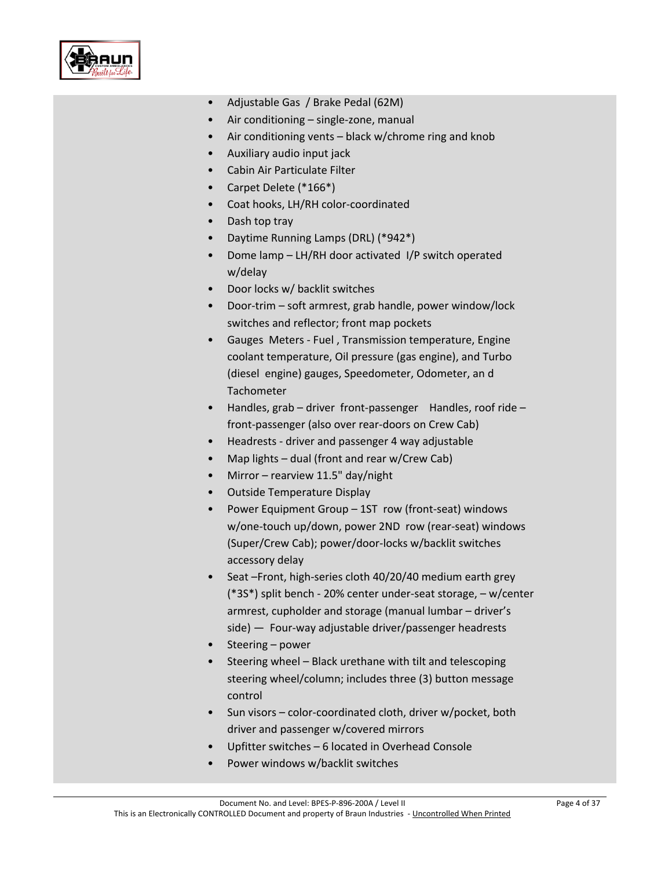

- Adjustable Gas / Brake Pedal (62M)
- Air conditioning single-zone, manual
- Air conditioning vents black w/chrome ring and knob
- Auxiliary audio input jack
- Cabin Air Particulate Filter
- Carpet Delete (\*166\*)
- Coat hooks, LH/RH color-coordinated
- Dash top tray
- Daytime Running Lamps (DRL) (\*942\*)
- Dome lamp LH/RH door activated I/P switch operated w/delay
- Door locks w/ backlit switches
- Door-trim soft armrest, grab handle, power window/lock switches and reflector; front map pockets
- Gauges Meters Fuel , Transmission temperature, Engine coolant temperature, Oil pressure (gas engine), and Turbo (diesel engine) gauges, Speedometer, Odometer, an d **Tachometer**
- Handles, grab driver front-passenger Handles, roof ride front-passenger (also over rear-doors on Crew Cab)
- Headrests driver and passenger 4 way adjustable
- Map lights dual (front and rear w/Crew Cab)
- Mirror rearview 11.5" day/night
- Outside Temperature Display
- Power Equipment Group 1ST row (front-seat) windows w/one-touch up/down, power 2ND row (rear-seat) windows (Super/Crew Cab); power/door-locks w/backlit switches accessory delay
- Seat –Front, high-series cloth 40/20/40 medium earth grey (\*3S\*) split bench - 20% center under-seat storage, – w/center armrest, cupholder and storage (manual lumbar – driver's side) — Four-way adjustable driver/passenger headrests
- Steering power
- Steering wheel Black urethane with tilt and telescoping steering wheel/column; includes three (3) button message control
- Sun visors color-coordinated cloth, driver w/pocket, both driver and passenger w/covered mirrors
- Upfitter switches 6 located in Overhead Console
- Power windows w/backlit switches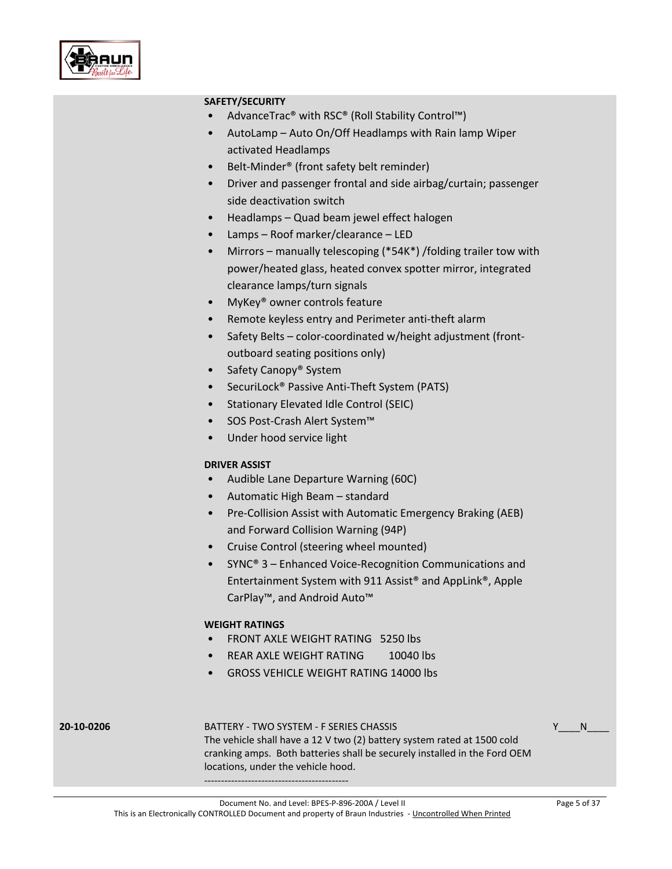

#### **SAFETY/SECURITY**

- AdvanceTrac® with RSC® (Roll Stability Control™)
- AutoLamp Auto On/Off Headlamps with Rain lamp Wiper activated Headlamps
- Belt-Minder® (front safety belt reminder)
- Driver and passenger frontal and side airbag/curtain; passenger side deactivation switch
- Headlamps Quad beam jewel effect halogen
- Lamps Roof marker/clearance LED
- Mirrors manually telescoping (\*54K\*) /folding trailer tow with power/heated glass, heated convex spotter mirror, integrated clearance lamps/turn signals
- MyKey<sup>®</sup> owner controls feature
- Remote keyless entry and Perimeter anti-theft alarm
- Safety Belts color-coordinated w/height adjustment (frontoutboard seating positions only)
- Safety Canopy<sup>®</sup> System
- SecuriLock® Passive Anti-Theft System (PATS)
- Stationary Elevated Idle Control (SEIC)
- SOS Post-Crash Alert System™
- Under hood service light

### **DRIVER ASSIST**

- Audible Lane Departure Warning (60C)
- Automatic High Beam standard
- Pre-Collision Assist with Automatic Emergency Braking (AEB) and Forward Collision Warning (94P)
- Cruise Control (steering wheel mounted)
- SYNC® 3 Enhanced Voice-Recognition Communications and Entertainment System with 911 Assist® and AppLink®, Apple CarPlay™, and Android Auto™

### **WEIGHT RATINGS**

- FRONT AXLE WEIGHT RATING 5250 lbs
- REAR AXLE WEIGHT RATING 10040 lbs
- GROSS VEHICLE WEIGHT RATING 14000 lbs

## **20-10-0206** BATTERY - TWO SYSTEM - F SERIES CHASSIS

 $N$ 

The vehicle shall have a 12 V two (2) battery system rated at 1500 cold cranking amps. Both batteries shall be securely installed in the Ford OEM locations, under the vehicle hood. -------------------------------------------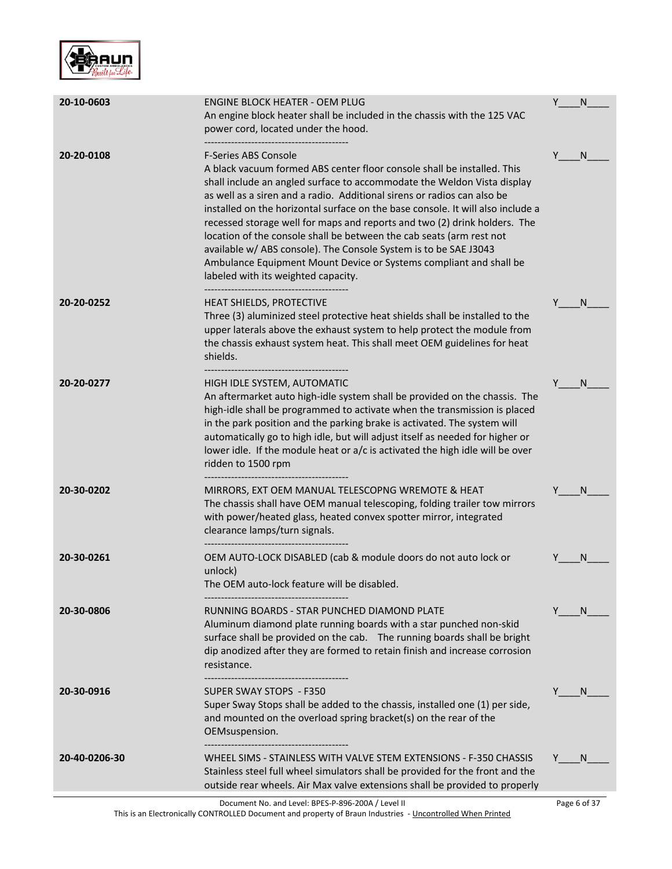

| 20-10-0603    | ENGINE BLOCK HEATER - OEM PLUG<br>An engine block heater shall be included in the chassis with the 125 VAC<br>power cord, located under the hood.                                                                                                                                                                                                                                                                                                                                                                                                                                                                                                                                     | Y | N            |
|---------------|---------------------------------------------------------------------------------------------------------------------------------------------------------------------------------------------------------------------------------------------------------------------------------------------------------------------------------------------------------------------------------------------------------------------------------------------------------------------------------------------------------------------------------------------------------------------------------------------------------------------------------------------------------------------------------------|---|--------------|
| 20-20-0108    | <b>F-Series ABS Console</b><br>A black vacuum formed ABS center floor console shall be installed. This<br>shall include an angled surface to accommodate the Weldon Vista display<br>as well as a siren and a radio. Additional sirens or radios can also be<br>installed on the horizontal surface on the base console. It will also include a<br>recessed storage well for maps and reports and two (2) drink holders. The<br>location of the console shall be between the cab seats (arm rest not<br>available w/ ABS console). The Console System is to be SAE J3043<br>Ambulance Equipment Mount Device or Systems compliant and shall be<br>labeled with its weighted capacity. | Y | N            |
| 20-20-0252    | HEAT SHIELDS, PROTECTIVE<br>Three (3) aluminized steel protective heat shields shall be installed to the<br>upper laterals above the exhaust system to help protect the module from<br>the chassis exhaust system heat. This shall meet OEM guidelines for heat<br>shields.                                                                                                                                                                                                                                                                                                                                                                                                           | Y | N            |
| 20-20-0277    | HIGH IDLE SYSTEM, AUTOMATIC<br>An aftermarket auto high-idle system shall be provided on the chassis. The<br>high-idle shall be programmed to activate when the transmission is placed<br>in the park position and the parking brake is activated. The system will<br>automatically go to high idle, but will adjust itself as needed for higher or<br>lower idle. If the module heat or a/c is activated the high idle will be over<br>ridden to 1500 rpm                                                                                                                                                                                                                            |   | N            |
| 20-30-0202    | MIRRORS, EXT OEM MANUAL TELESCOPNG WREMOTE & HEAT<br>The chassis shall have OEM manual telescoping, folding trailer tow mirrors<br>with power/heated glass, heated convex spotter mirror, integrated<br>clearance lamps/turn signals.                                                                                                                                                                                                                                                                                                                                                                                                                                                 | Y | N            |
| 20-30-0261    | OEM AUTO-LOCK DISABLED (cab & module doors do not auto lock or<br>unlock)<br>The OEM auto-lock feature will be disabled.                                                                                                                                                                                                                                                                                                                                                                                                                                                                                                                                                              |   | N            |
| 20-30-0806    | RUNNING BOARDS - STAR PUNCHED DIAMOND PLATE<br>Aluminum diamond plate running boards with a star punched non-skid<br>surface shall be provided on the cab.  The running boards shall be bright<br>dip anodized after they are formed to retain finish and increase corrosion<br>resistance.                                                                                                                                                                                                                                                                                                                                                                                           | Y | <sub>N</sub> |
| 20-30-0916    | SUPER SWAY STOPS - F350<br>Super Sway Stops shall be added to the chassis, installed one (1) per side,<br>and mounted on the overload spring bracket(s) on the rear of the<br>OEMsuspension.                                                                                                                                                                                                                                                                                                                                                                                                                                                                                          |   | N            |
| 20-40-0206-30 | WHEEL SIMS - STAINLESS WITH VALVE STEM EXTENSIONS - F-350 CHASSIS<br>Stainless steel full wheel simulators shall be provided for the front and the<br>outside rear wheels. Air Max valve extensions shall be provided to properly                                                                                                                                                                                                                                                                                                                                                                                                                                                     |   | <sub>N</sub> |
|               | Document No. and Level: BPES-P-896-200A / Level II                                                                                                                                                                                                                                                                                                                                                                                                                                                                                                                                                                                                                                    |   | Page 6 of 37 |

This is an Electronically CONTROLLED Document and property of Braun Industries - <u>Uncontrolled When Printed</u>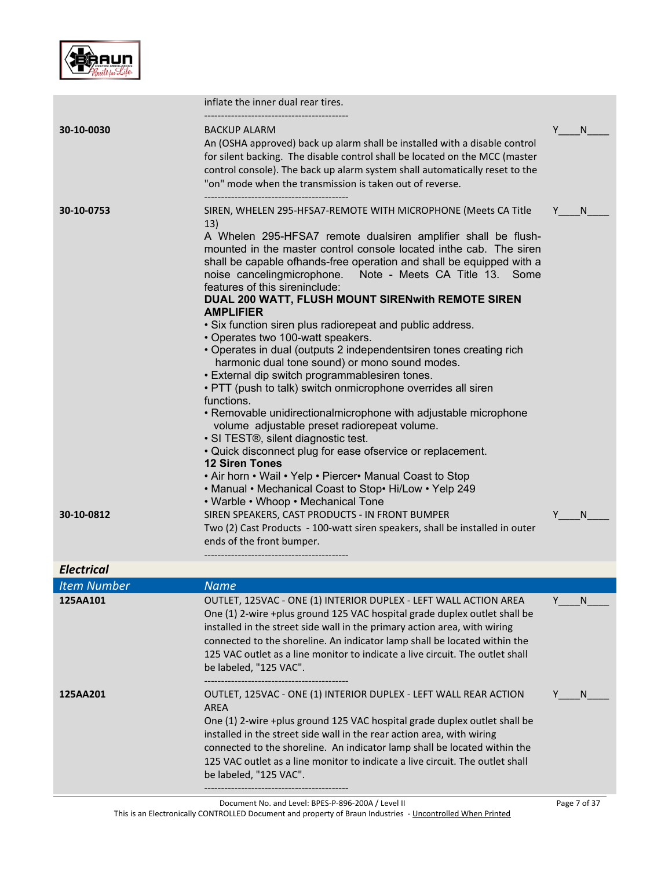

|                          | inflate the inner dual rear tires.                                                                                                                                                                                                                                                                                                                                                                                                                                                                                                                                                                                                                                                                                                                                                                                                                                                                                                                                                                                                                                                                                                                                                                                                                                                                                                                                                                      |        |        |
|--------------------------|---------------------------------------------------------------------------------------------------------------------------------------------------------------------------------------------------------------------------------------------------------------------------------------------------------------------------------------------------------------------------------------------------------------------------------------------------------------------------------------------------------------------------------------------------------------------------------------------------------------------------------------------------------------------------------------------------------------------------------------------------------------------------------------------------------------------------------------------------------------------------------------------------------------------------------------------------------------------------------------------------------------------------------------------------------------------------------------------------------------------------------------------------------------------------------------------------------------------------------------------------------------------------------------------------------------------------------------------------------------------------------------------------------|--------|--------|
| 30-10-0030               | <b>BACKUP ALARM</b><br>An (OSHA approved) back up alarm shall be installed with a disable control<br>for silent backing. The disable control shall be located on the MCC (master<br>control console). The back up alarm system shall automatically reset to the<br>"on" mode when the transmission is taken out of reverse.                                                                                                                                                                                                                                                                                                                                                                                                                                                                                                                                                                                                                                                                                                                                                                                                                                                                                                                                                                                                                                                                             | Y      | N      |
| 30-10-0753<br>30-10-0812 | SIREN, WHELEN 295-HFSA7-REMOTE WITH MICROPHONE (Meets CA Title<br>13)<br>A Whelen 295-HFSA7 remote dualsiren amplifier shall be flush-<br>mounted in the master control console located inthe cab. The siren<br>shall be capable ofhands-free operation and shall be equipped with a<br>noise cancelingmicrophone.<br>Note - Meets CA Title 13. Some<br>features of this sireninclude:<br>DUAL 200 WATT, FLUSH MOUNT SIREN with REMOTE SIREN<br><b>AMPLIFIER</b><br>• Six function siren plus radiorepeat and public address.<br>• Operates two 100-watt speakers.<br>• Operates in dual (outputs 2 independentsiren tones creating rich<br>harmonic dual tone sound) or mono sound modes.<br>• External dip switch programmablesiren tones.<br>• PTT (push to talk) switch onmicrophone overrides all siren<br>functions.<br>• Removable unidirectionalmicrophone with adjustable microphone<br>volume adjustable preset radiorepeat volume.<br>· SI TEST®, silent diagnostic test.<br>• Quick disconnect plug for ease ofservice or replacement.<br><b>12 Siren Tones</b><br>. Air horn . Wail . Yelp . Piercer. Manual Coast to Stop<br>• Manual • Mechanical Coast to Stop• Hi/Low • Yelp 249<br>• Warble • Whoop • Mechanical Tone<br>SIREN SPEAKERS, CAST PRODUCTS - IN FRONT BUMPER<br>Two (2) Cast Products - 100-watt siren speakers, shall be installed in outer<br>ends of the front bumper. | Y<br>Y | N<br>N |
| <b>Electrical</b>        |                                                                                                                                                                                                                                                                                                                                                                                                                                                                                                                                                                                                                                                                                                                                                                                                                                                                                                                                                                                                                                                                                                                                                                                                                                                                                                                                                                                                         |        |        |
| <b>Item Number</b>       | <b>Name</b>                                                                                                                                                                                                                                                                                                                                                                                                                                                                                                                                                                                                                                                                                                                                                                                                                                                                                                                                                                                                                                                                                                                                                                                                                                                                                                                                                                                             |        |        |
| 125AA101                 | OUTLET, 125VAC - ONE (1) INTERIOR DUPLEX - LEFT WALL ACTION AREA<br>One (1) 2-wire +plus ground 125 VAC hospital grade duplex outlet shall be<br>installed in the street side wall in the primary action area, with wiring<br>connected to the shoreline. An indicator lamp shall be located within the<br>125 VAC outlet as a line monitor to indicate a live circuit. The outlet shall<br>be labeled, "125 VAC".                                                                                                                                                                                                                                                                                                                                                                                                                                                                                                                                                                                                                                                                                                                                                                                                                                                                                                                                                                                      | Y      | N      |
| 125AA201                 | OUTLET, 125VAC - ONE (1) INTERIOR DUPLEX - LEFT WALL REAR ACTION<br><b>AREA</b><br>One (1) 2-wire +plus ground 125 VAC hospital grade duplex outlet shall be<br>installed in the street side wall in the rear action area, with wiring<br>connected to the shoreline. An indicator lamp shall be located within the<br>125 VAC outlet as a line monitor to indicate a live circuit. The outlet shall<br>be labeled, "125 VAC".                                                                                                                                                                                                                                                                                                                                                                                                                                                                                                                                                                                                                                                                                                                                                                                                                                                                                                                                                                          |        | N      |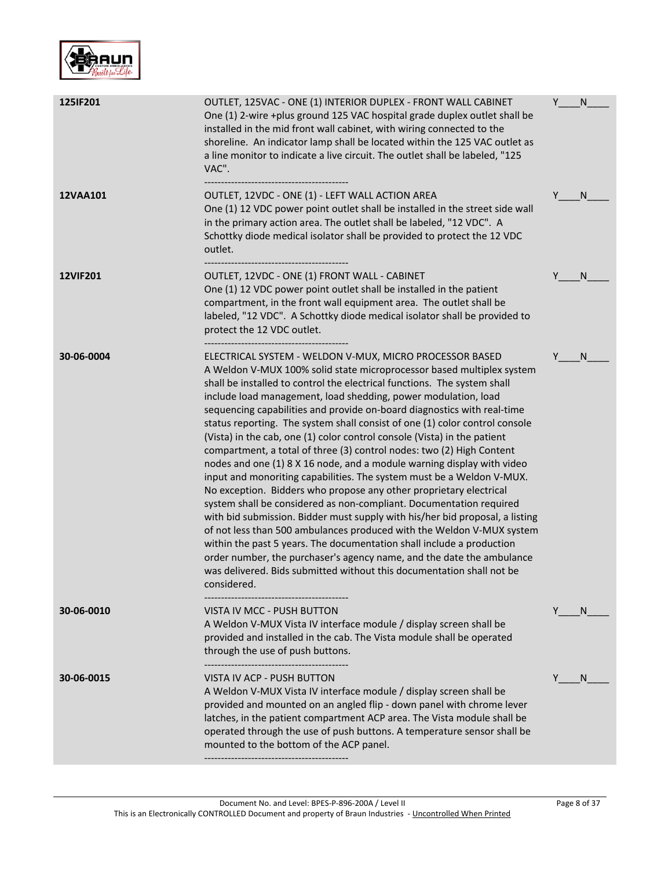

| 125IF201        | OUTLET, 125VAC - ONE (1) INTERIOR DUPLEX - FRONT WALL CABINET<br>One (1) 2-wire +plus ground 125 VAC hospital grade duplex outlet shall be<br>installed in the mid front wall cabinet, with wiring connected to the<br>shoreline. An indicator lamp shall be located within the 125 VAC outlet as<br>a line monitor to indicate a live circuit. The outlet shall be labeled, "125<br>VAC".                                                                                                                                                                                                                                                                                                                                                                                                                                                                                                                                                                                                                                                                                                                                                                                                                                                                                                       | Y | N |
|-----------------|--------------------------------------------------------------------------------------------------------------------------------------------------------------------------------------------------------------------------------------------------------------------------------------------------------------------------------------------------------------------------------------------------------------------------------------------------------------------------------------------------------------------------------------------------------------------------------------------------------------------------------------------------------------------------------------------------------------------------------------------------------------------------------------------------------------------------------------------------------------------------------------------------------------------------------------------------------------------------------------------------------------------------------------------------------------------------------------------------------------------------------------------------------------------------------------------------------------------------------------------------------------------------------------------------|---|---|
| 12VAA101        | OUTLET, 12VDC - ONE (1) - LEFT WALL ACTION AREA<br>One (1) 12 VDC power point outlet shall be installed in the street side wall<br>in the primary action area. The outlet shall be labeled, "12 VDC". A<br>Schottky diode medical isolator shall be provided to protect the 12 VDC<br>outlet.                                                                                                                                                                                                                                                                                                                                                                                                                                                                                                                                                                                                                                                                                                                                                                                                                                                                                                                                                                                                    | Y | N |
| <b>12VIF201</b> | OUTLET, 12VDC - ONE (1) FRONT WALL - CABINET<br>One (1) 12 VDC power point outlet shall be installed in the patient<br>compartment, in the front wall equipment area. The outlet shall be<br>labeled, "12 VDC". A Schottky diode medical isolator shall be provided to<br>protect the 12 VDC outlet.                                                                                                                                                                                                                                                                                                                                                                                                                                                                                                                                                                                                                                                                                                                                                                                                                                                                                                                                                                                             | Y | N |
| 30-06-0004      | ELECTRICAL SYSTEM - WELDON V-MUX, MICRO PROCESSOR BASED<br>A Weldon V-MUX 100% solid state microprocessor based multiplex system<br>shall be installed to control the electrical functions. The system shall<br>include load management, load shedding, power modulation, load<br>sequencing capabilities and provide on-board diagnostics with real-time<br>status reporting. The system shall consist of one (1) color control console<br>(Vista) in the cab, one (1) color control console (Vista) in the patient<br>compartment, a total of three (3) control nodes: two (2) High Content<br>nodes and one (1) 8 X 16 node, and a module warning display with video<br>input and monoriting capabilities. The system must be a Weldon V-MUX.<br>No exception. Bidders who propose any other proprietary electrical<br>system shall be considered as non-compliant. Documentation required<br>with bid submission. Bidder must supply with his/her bid proposal, a listing<br>of not less than 500 ambulances produced with the Weldon V-MUX system<br>within the past 5 years. The documentation shall include a production<br>order number, the purchaser's agency name, and the date the ambulance<br>was delivered. Bids submitted without this documentation shall not be<br>considered. | Y | N |
| 30-06-0010      | VISTA IV MCC - PUSH BUTTON<br>A Weldon V-MUX Vista IV interface module / display screen shall be<br>provided and installed in the cab. The Vista module shall be operated<br>through the use of push buttons.                                                                                                                                                                                                                                                                                                                                                                                                                                                                                                                                                                                                                                                                                                                                                                                                                                                                                                                                                                                                                                                                                    | Y | N |
| 30-06-0015      | VISTA IV ACP - PUSH BUTTON<br>A Weldon V-MUX Vista IV interface module / display screen shall be<br>provided and mounted on an angled flip - down panel with chrome lever<br>latches, in the patient compartment ACP area. The Vista module shall be<br>operated through the use of push buttons. A temperature sensor shall be<br>mounted to the bottom of the ACP panel.                                                                                                                                                                                                                                                                                                                                                                                                                                                                                                                                                                                                                                                                                                                                                                                                                                                                                                                       | Y | N |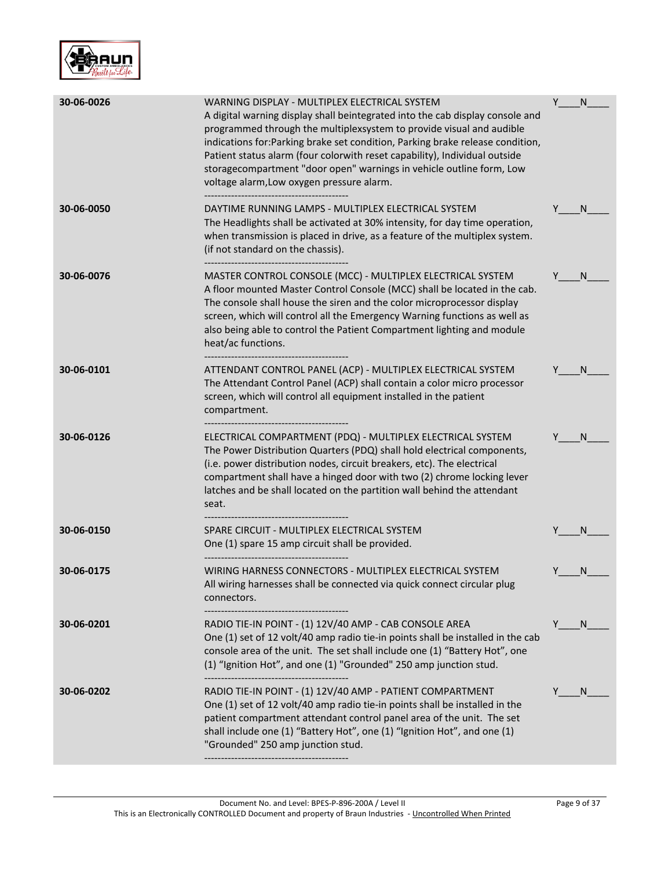

| 30-06-0026 | WARNING DISPLAY - MULTIPLEX ELECTRICAL SYSTEM<br>A digital warning display shall beintegrated into the cab display console and<br>programmed through the multiplexsystem to provide visual and audible<br>indications for: Parking brake set condition, Parking brake release condition,<br>Patient status alarm (four colorwith reset capability), Individual outside<br>storagecompartment "door open" warnings in vehicle outline form, Low<br>voltage alarm, Low oxygen pressure alarm. | Υ | N            |
|------------|---------------------------------------------------------------------------------------------------------------------------------------------------------------------------------------------------------------------------------------------------------------------------------------------------------------------------------------------------------------------------------------------------------------------------------------------------------------------------------------------|---|--------------|
| 30-06-0050 | DAYTIME RUNNING LAMPS - MULTIPLEX ELECTRICAL SYSTEM<br>The Headlights shall be activated at 30% intensity, for day time operation,<br>when transmission is placed in drive, as a feature of the multiplex system.<br>(if not standard on the chassis).                                                                                                                                                                                                                                      |   | N.           |
| 30-06-0076 | MASTER CONTROL CONSOLE (MCC) - MULTIPLEX ELECTRICAL SYSTEM<br>A floor mounted Master Control Console (MCC) shall be located in the cab.<br>The console shall house the siren and the color microprocessor display<br>screen, which will control all the Emergency Warning functions as well as<br>also being able to control the Patient Compartment lighting and module<br>heat/ac functions.                                                                                              |   | N.           |
| 30-06-0101 | ATTENDANT CONTROL PANEL (ACP) - MULTIPLEX ELECTRICAL SYSTEM<br>The Attendant Control Panel (ACP) shall contain a color micro processor<br>screen, which will control all equipment installed in the patient<br>compartment.                                                                                                                                                                                                                                                                 |   | N            |
| 30-06-0126 | ELECTRICAL COMPARTMENT (PDQ) - MULTIPLEX ELECTRICAL SYSTEM<br>The Power Distribution Quarters (PDQ) shall hold electrical components,<br>(i.e. power distribution nodes, circuit breakers, etc). The electrical<br>compartment shall have a hinged door with two (2) chrome locking lever<br>latches and be shall located on the partition wall behind the attendant<br>seat.                                                                                                               |   | N.           |
| 30-06-0150 | SPARE CIRCUIT - MULTIPLEX ELECTRICAL SYSTEM<br>One (1) spare 15 amp circuit shall be provided.                                                                                                                                                                                                                                                                                                                                                                                              |   | N            |
| 30-06-0175 | WIRING HARNESS CONNECTORS - MULTIPLEX ELECTRICAL SYSTEM<br>All wiring harnesses shall be connected via quick connect circular plug<br>connectors.                                                                                                                                                                                                                                                                                                                                           |   | N            |
| 30-06-0201 | RADIO TIE-IN POINT - (1) 12V/40 AMP - CAB CONSOLE AREA<br>One (1) set of 12 volt/40 amp radio tie-in points shall be installed in the cab<br>console area of the unit. The set shall include one (1) "Battery Hot", one<br>(1) "Ignition Hot", and one (1) "Grounded" 250 amp junction stud.                                                                                                                                                                                                | Y | <sup>N</sup> |
| 30-06-0202 | RADIO TIE-IN POINT - (1) 12V/40 AMP - PATIENT COMPARTMENT<br>One (1) set of 12 volt/40 amp radio tie-in points shall be installed in the<br>patient compartment attendant control panel area of the unit. The set<br>shall include one (1) "Battery Hot", one (1) "Ignition Hot", and one (1)<br>"Grounded" 250 amp junction stud.                                                                                                                                                          |   | <sub>N</sub> |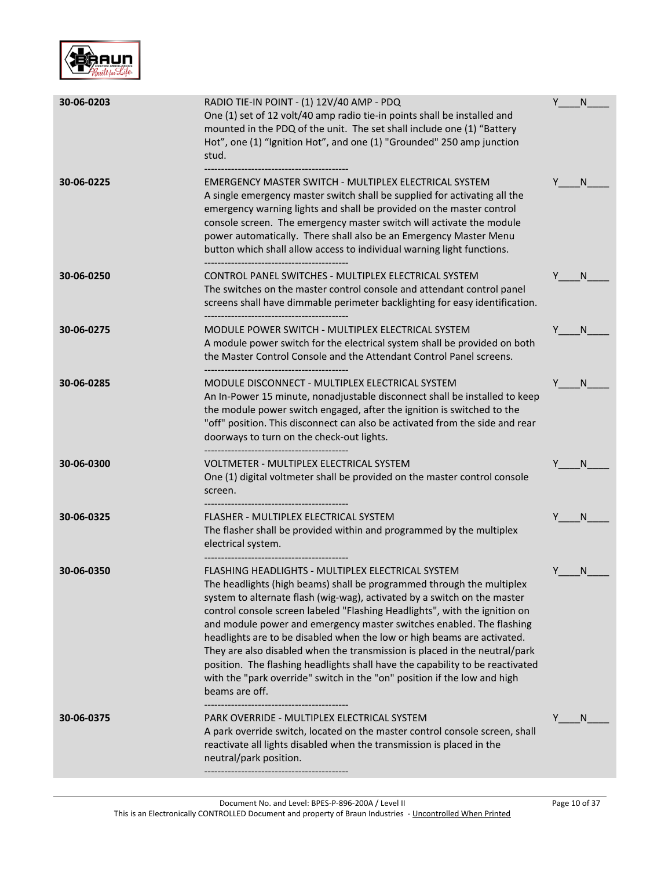

| 30-06-0203 | RADIO TIE-IN POINT - (1) 12V/40 AMP - PDQ<br>One (1) set of 12 volt/40 amp radio tie-in points shall be installed and<br>mounted in the PDQ of the unit. The set shall include one (1) "Battery<br>Hot", one (1) "Ignition Hot", and one (1) "Grounded" 250 amp junction<br>stud.                                                                                                                                                                                                                                                                                                                                                                                                                    | Y | N            |
|------------|------------------------------------------------------------------------------------------------------------------------------------------------------------------------------------------------------------------------------------------------------------------------------------------------------------------------------------------------------------------------------------------------------------------------------------------------------------------------------------------------------------------------------------------------------------------------------------------------------------------------------------------------------------------------------------------------------|---|--------------|
| 30-06-0225 | EMERGENCY MASTER SWITCH - MULTIPLEX ELECTRICAL SYSTEM<br>A single emergency master switch shall be supplied for activating all the<br>emergency warning lights and shall be provided on the master control<br>console screen. The emergency master switch will activate the module<br>power automatically. There shall also be an Emergency Master Menu<br>button which shall allow access to individual warning light functions.<br>-------------------------------------                                                                                                                                                                                                                           |   | <sub>N</sub> |
| 30-06-0250 | CONTROL PANEL SWITCHES - MULTIPLEX ELECTRICAL SYSTEM<br>The switches on the master control console and attendant control panel<br>screens shall have dimmable perimeter backlighting for easy identification.                                                                                                                                                                                                                                                                                                                                                                                                                                                                                        |   | N.           |
| 30-06-0275 | MODULE POWER SWITCH - MULTIPLEX ELECTRICAL SYSTEM<br>A module power switch for the electrical system shall be provided on both<br>the Master Control Console and the Attendant Control Panel screens.                                                                                                                                                                                                                                                                                                                                                                                                                                                                                                |   | <sub>N</sub> |
| 30-06-0285 | MODULE DISCONNECT - MULTIPLEX ELECTRICAL SYSTEM<br>An In-Power 15 minute, nonadjustable disconnect shall be installed to keep<br>the module power switch engaged, after the ignition is switched to the<br>"off" position. This disconnect can also be activated from the side and rear<br>doorways to turn on the check-out lights.                                                                                                                                                                                                                                                                                                                                                                 |   | <sub>N</sub> |
| 30-06-0300 | VOLTMETER - MULTIPLEX ELECTRICAL SYSTEM<br>One (1) digital voltmeter shall be provided on the master control console<br>screen.                                                                                                                                                                                                                                                                                                                                                                                                                                                                                                                                                                      |   | N            |
| 30-06-0325 | FLASHER - MULTIPLEX ELECTRICAL SYSTEM<br>The flasher shall be provided within and programmed by the multiplex<br>electrical system.                                                                                                                                                                                                                                                                                                                                                                                                                                                                                                                                                                  |   | N            |
| 30-06-0350 | FLASHING HEADLIGHTS - MULTIPLEX ELECTRICAL SYSTEM<br>The headlights (high beams) shall be programmed through the multiplex<br>system to alternate flash (wig-wag), activated by a switch on the master<br>control console screen labeled "Flashing Headlights", with the ignition on<br>and module power and emergency master switches enabled. The flashing<br>headlights are to be disabled when the low or high beams are activated.<br>They are also disabled when the transmission is placed in the neutral/park<br>position. The flashing headlights shall have the capability to be reactivated<br>with the "park override" switch in the "on" position if the low and high<br>beams are off. |   | N            |
| 30-06-0375 | PARK OVERRIDE - MULTIPLEX ELECTRICAL SYSTEM<br>A park override switch, located on the master control console screen, shall<br>reactivate all lights disabled when the transmission is placed in the<br>neutral/park position.                                                                                                                                                                                                                                                                                                                                                                                                                                                                        |   | <sub>N</sub> |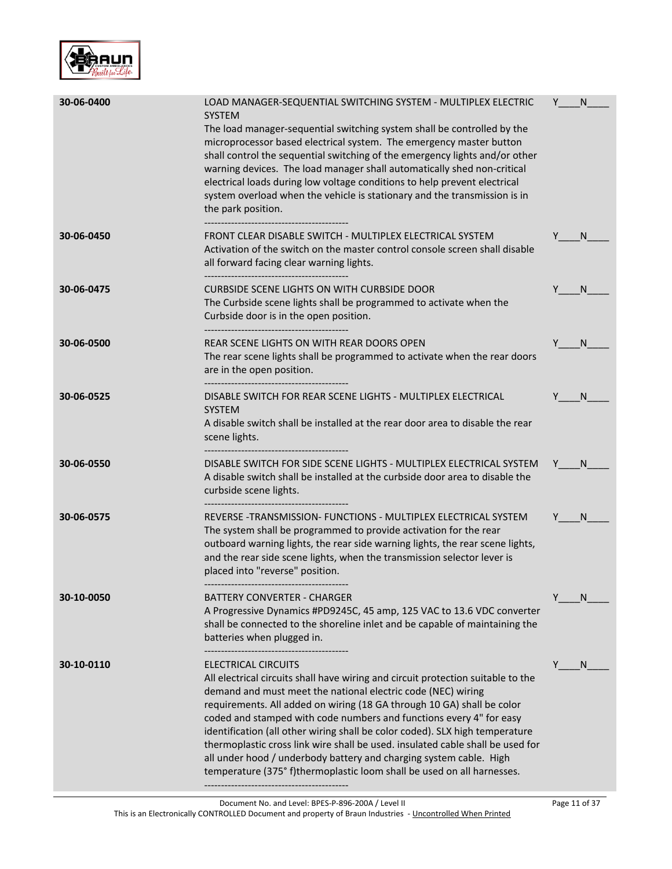

| 30-06-0400 | LOAD MANAGER-SEQUENTIAL SWITCHING SYSTEM - MULTIPLEX ELECTRIC<br><b>SYSTEM</b><br>The load manager-sequential switching system shall be controlled by the<br>microprocessor based electrical system. The emergency master button<br>shall control the sequential switching of the emergency lights and/or other<br>warning devices. The load manager shall automatically shed non-critical<br>electrical loads during low voltage conditions to help prevent electrical<br>system overload when the vehicle is stationary and the transmission is in<br>the park position.                                                                 | Y | N            |
|------------|--------------------------------------------------------------------------------------------------------------------------------------------------------------------------------------------------------------------------------------------------------------------------------------------------------------------------------------------------------------------------------------------------------------------------------------------------------------------------------------------------------------------------------------------------------------------------------------------------------------------------------------------|---|--------------|
| 30-06-0450 | FRONT CLEAR DISABLE SWITCH - MULTIPLEX ELECTRICAL SYSTEM<br>Activation of the switch on the master control console screen shall disable<br>all forward facing clear warning lights.                                                                                                                                                                                                                                                                                                                                                                                                                                                        |   | N            |
| 30-06-0475 | CURBSIDE SCENE LIGHTS ON WITH CURBSIDE DOOR<br>The Curbside scene lights shall be programmed to activate when the<br>Curbside door is in the open position.<br>------------------------------------                                                                                                                                                                                                                                                                                                                                                                                                                                        |   | N            |
| 30-06-0500 | REAR SCENE LIGHTS ON WITH REAR DOORS OPEN<br>The rear scene lights shall be programmed to activate when the rear doors<br>are in the open position.                                                                                                                                                                                                                                                                                                                                                                                                                                                                                        | Y | <sup>N</sup> |
| 30-06-0525 | DISABLE SWITCH FOR REAR SCENE LIGHTS - MULTIPLEX ELECTRICAL<br><b>SYSTEM</b><br>A disable switch shall be installed at the rear door area to disable the rear<br>scene lights.                                                                                                                                                                                                                                                                                                                                                                                                                                                             |   | N            |
| 30-06-0550 | DISABLE SWITCH FOR SIDE SCENE LIGHTS - MULTIPLEX ELECTRICAL SYSTEM<br>A disable switch shall be installed at the curbside door area to disable the<br>curbside scene lights.                                                                                                                                                                                                                                                                                                                                                                                                                                                               | Y | N.           |
| 30-06-0575 | REVERSE - TRANSMISSION- FUNCTIONS - MULTIPLEX ELECTRICAL SYSTEM<br>The system shall be programmed to provide activation for the rear<br>outboard warning lights, the rear side warning lights, the rear scene lights,<br>and the rear side scene lights, when the transmission selector lever is<br>placed into "reverse" position.                                                                                                                                                                                                                                                                                                        |   | N.           |
| 30-10-0050 | BATTERY CONVERTER - CHARGER<br>A Progressive Dynamics #PD9245C, 45 amp, 125 VAC to 13.6 VDC converter<br>shall be connected to the shoreline inlet and be capable of maintaining the<br>batteries when plugged in.                                                                                                                                                                                                                                                                                                                                                                                                                         | Y | <sub>N</sub> |
| 30-10-0110 | ELECTRICAL CIRCUITS<br>All electrical circuits shall have wiring and circuit protection suitable to the<br>demand and must meet the national electric code (NEC) wiring<br>requirements. All added on wiring (18 GA through 10 GA) shall be color<br>coded and stamped with code numbers and functions every 4" for easy<br>identification (all other wiring shall be color coded). SLX high temperature<br>thermoplastic cross link wire shall be used. insulated cable shall be used for<br>all under hood / underbody battery and charging system cable. High<br>temperature (375° f)thermoplastic loom shall be used on all harnesses. | Y | N            |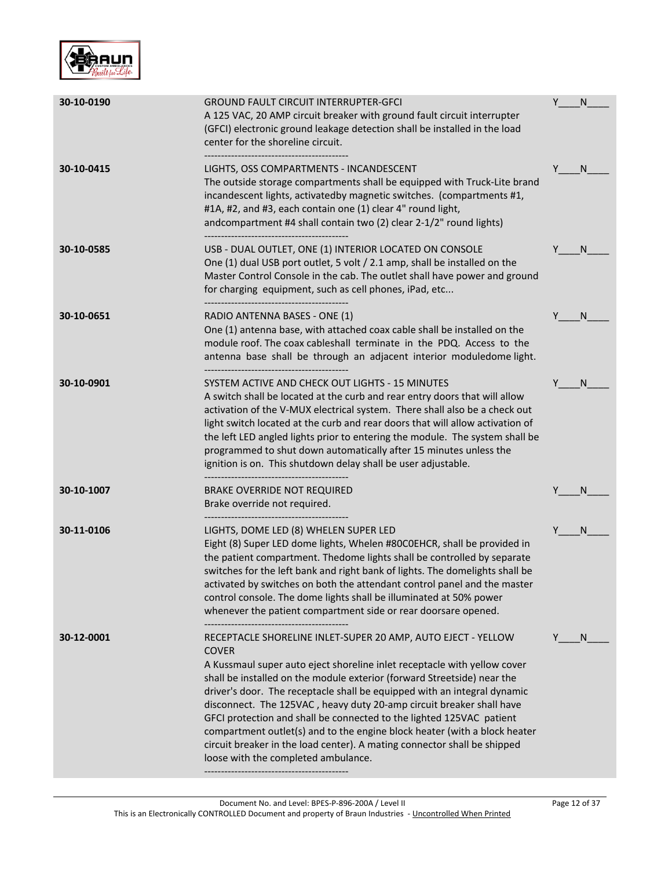

| 30-10-0190 | <b>GROUND FAULT CIRCUIT INTERRUPTER-GFCI</b><br>A 125 VAC, 20 AMP circuit breaker with ground fault circuit interrupter<br>(GFCI) electronic ground leakage detection shall be installed in the load<br>center for the shoreline circuit.                                                                                                                                                                                                                                                                                                                                                                                                                                                                | Y | N |
|------------|----------------------------------------------------------------------------------------------------------------------------------------------------------------------------------------------------------------------------------------------------------------------------------------------------------------------------------------------------------------------------------------------------------------------------------------------------------------------------------------------------------------------------------------------------------------------------------------------------------------------------------------------------------------------------------------------------------|---|---|
| 30-10-0415 | LIGHTS, OSS COMPARTMENTS - INCANDESCENT<br>The outside storage compartments shall be equipped with Truck-Lite brand<br>incandescent lights, activatedby magnetic switches. (compartments #1,<br>#1A, #2, and #3, each contain one (1) clear 4" round light,<br>andcompartment #4 shall contain two (2) clear 2-1/2" round lights)                                                                                                                                                                                                                                                                                                                                                                        | Y | N |
| 30-10-0585 | USB - DUAL OUTLET, ONE (1) INTERIOR LOCATED ON CONSOLE<br>One (1) dual USB port outlet, 5 volt / 2.1 amp, shall be installed on the<br>Master Control Console in the cab. The outlet shall have power and ground<br>for charging equipment, such as cell phones, iPad, etc                                                                                                                                                                                                                                                                                                                                                                                                                               |   | N |
| 30-10-0651 | RADIO ANTENNA BASES - ONE (1)<br>One (1) antenna base, with attached coax cable shall be installed on the<br>module roof. The coax cableshall terminate in the PDQ. Access to the<br>antenna base shall be through an adjacent interior moduledome light.<br>------------------------------------                                                                                                                                                                                                                                                                                                                                                                                                        |   | N |
| 30-10-0901 | SYSTEM ACTIVE AND CHECK OUT LIGHTS - 15 MINUTES<br>A switch shall be located at the curb and rear entry doors that will allow<br>activation of the V-MUX electrical system. There shall also be a check out<br>light switch located at the curb and rear doors that will allow activation of<br>the left LED angled lights prior to entering the module. The system shall be<br>programmed to shut down automatically after 15 minutes unless the<br>ignition is on. This shutdown delay shall be user adjustable.<br>-------------------------------                                                                                                                                                    |   | N |
| 30-10-1007 | <b>BRAKE OVERRIDE NOT REQUIRED</b><br>Brake override not required.                                                                                                                                                                                                                                                                                                                                                                                                                                                                                                                                                                                                                                       |   | N |
| 30-11-0106 | LIGHTS, DOME LED (8) WHELEN SUPER LED<br>Eight (8) Super LED dome lights, Whelen #80C0EHCR, shall be provided in<br>the patient compartment. Thedome lights shall be controlled by separate<br>switches for the left bank and right bank of lights. The domelights shall be<br>activated by switches on both the attendant control panel and the master<br>control console. The dome lights shall be illuminated at 50% power<br>whenever the patient compartment side or rear doorsare opened.                                                                                                                                                                                                          | Y | N |
| 30-12-0001 | RECEPTACLE SHORELINE INLET-SUPER 20 AMP, AUTO EJECT - YELLOW<br><b>COVER</b><br>A Kussmaul super auto eject shoreline inlet receptacle with yellow cover<br>shall be installed on the module exterior (forward Streetside) near the<br>driver's door. The receptacle shall be equipped with an integral dynamic<br>disconnect. The 125VAC, heavy duty 20-amp circuit breaker shall have<br>GFCI protection and shall be connected to the lighted 125VAC patient<br>compartment outlet(s) and to the engine block heater (with a block heater<br>circuit breaker in the load center). A mating connector shall be shipped<br>loose with the completed ambulance.<br>------------------------------------- |   | N |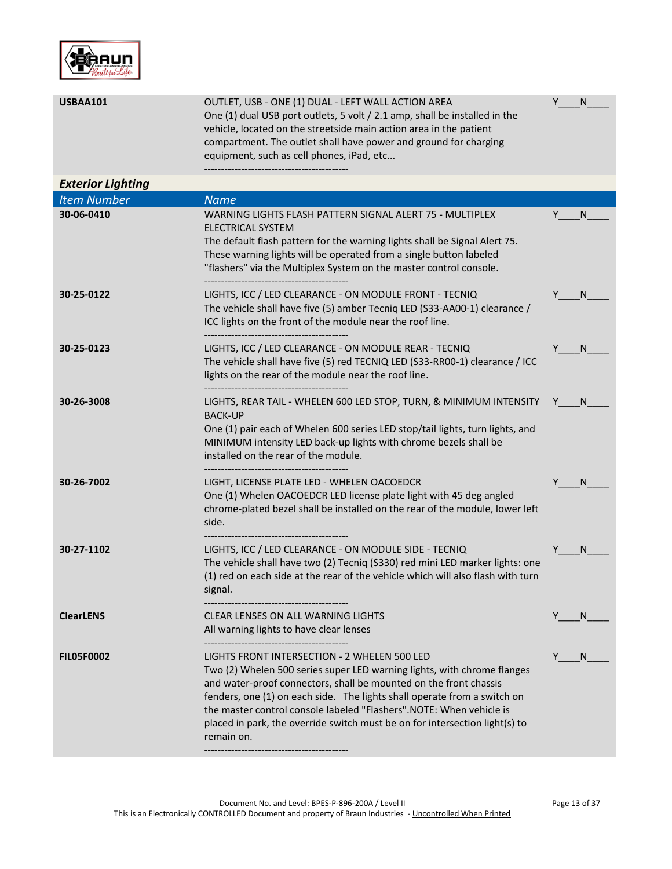

| <b>USBAA101</b>          | OUTLET, USB - ONE (1) DUAL - LEFT WALL ACTION AREA<br>One (1) dual USB port outlets, 5 volt / 2.1 amp, shall be installed in the<br>vehicle, located on the streetside main action area in the patient<br>compartment. The outlet shall have power and ground for charging<br>equipment, such as cell phones, iPad, etc                                                                                                                      | N  |
|--------------------------|----------------------------------------------------------------------------------------------------------------------------------------------------------------------------------------------------------------------------------------------------------------------------------------------------------------------------------------------------------------------------------------------------------------------------------------------|----|
| <b>Exterior Lighting</b> |                                                                                                                                                                                                                                                                                                                                                                                                                                              |    |
| <b>Item Number</b>       | <b>Name</b>                                                                                                                                                                                                                                                                                                                                                                                                                                  |    |
| 30-06-0410               | WARNING LIGHTS FLASH PATTERN SIGNAL ALERT 75 - MULTIPLEX<br><b>ELECTRICAL SYSTEM</b><br>The default flash pattern for the warning lights shall be Signal Alert 75.<br>These warning lights will be operated from a single button labeled<br>"flashers" via the Multiplex System on the master control console.                                                                                                                               | N  |
| 30-25-0122               | LIGHTS, ICC / LED CLEARANCE - ON MODULE FRONT - TECNIQ<br>The vehicle shall have five (5) amber Tecniq LED (S33-AA00-1) clearance /<br>ICC lights on the front of the module near the roof line.                                                                                                                                                                                                                                             | N. |
| 30-25-0123               | LIGHTS, ICC / LED CLEARANCE - ON MODULE REAR - TECNIQ<br>The vehicle shall have five (5) red TECNIQ LED (S33-RR00-1) clearance / ICC<br>lights on the rear of the module near the roof line.                                                                                                                                                                                                                                                 | N  |
| 30-26-3008               | LIGHTS, REAR TAIL - WHELEN 600 LED STOP, TURN, & MINIMUM INTENSITY<br><b>BACK-UP</b><br>One (1) pair each of Whelen 600 series LED stop/tail lights, turn lights, and<br>MINIMUM intensity LED back-up lights with chrome bezels shall be<br>installed on the rear of the module.                                                                                                                                                            | N. |
| 30-26-7002               | LIGHT, LICENSE PLATE LED - WHELEN OACOEDCR<br>One (1) Whelen OACOEDCR LED license plate light with 45 deg angled<br>chrome-plated bezel shall be installed on the rear of the module, lower left<br>side.                                                                                                                                                                                                                                    | N  |
| 30-27-1102               | LIGHTS, ICC / LED CLEARANCE - ON MODULE SIDE - TECNIQ<br>The vehicle shall have two (2) Tecniq (S330) red mini LED marker lights: one<br>(1) red on each side at the rear of the vehicle which will also flash with turn<br>signal.                                                                                                                                                                                                          | N  |
| <b>ClearLENS</b>         | <b>CLEAR LENSES ON ALL WARNING LIGHTS</b><br>All warning lights to have clear lenses                                                                                                                                                                                                                                                                                                                                                         | N. |
| <b>FILO5F0002</b>        | LIGHTS FRONT INTERSECTION - 2 WHELEN 500 LED<br>Two (2) Whelen 500 series super LED warning lights, with chrome flanges<br>and water-proof connectors, shall be mounted on the front chassis<br>fenders, one (1) on each side. The lights shall operate from a switch on<br>the master control console labeled "Flashers".NOTE: When vehicle is<br>placed in park, the override switch must be on for intersection light(s) to<br>remain on. | N  |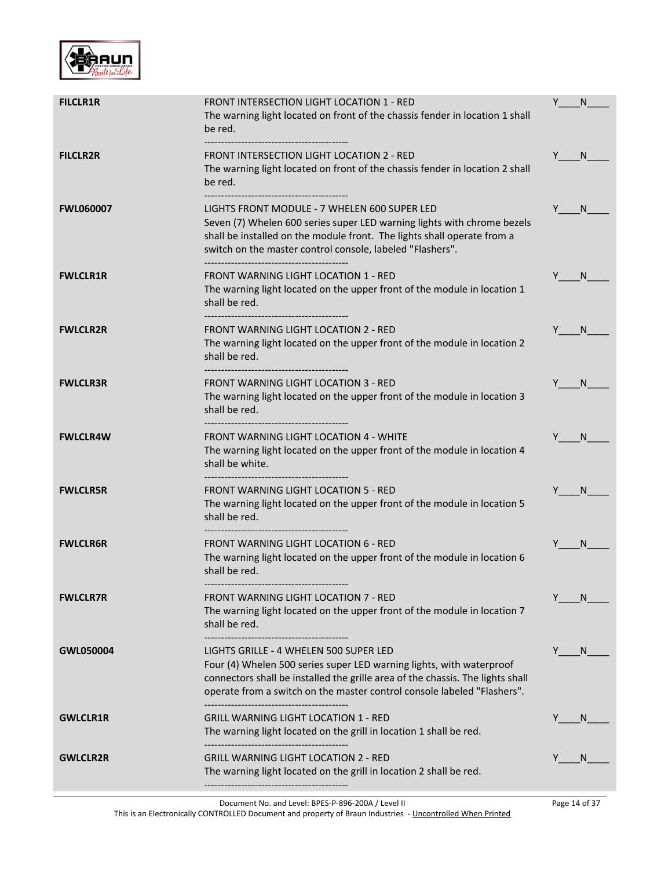

| <b>FILCLR1R</b>  | <b>FRONT INTERSECTION LIGHT LOCATION 1 - RED</b><br>The warning light located on front of the chassis fender in location 1 shall<br>be red.                                                                                                                                                              | Y   | N.           |
|------------------|----------------------------------------------------------------------------------------------------------------------------------------------------------------------------------------------------------------------------------------------------------------------------------------------------------|-----|--------------|
| <b>FILCLR2R</b>  | FRONT INTERSECTION LIGHT LOCATION 2 - RED<br>The warning light located on front of the chassis fender in location 2 shall<br>be red.                                                                                                                                                                     | Y N |              |
| <b>FWL060007</b> | LIGHTS FRONT MODULE - 7 WHELEN 600 SUPER LED<br>Seven (7) Whelen 600 series super LED warning lights with chrome bezels<br>shall be installed on the module front. The lights shall operate from a<br>switch on the master control console, labeled "Flashers".<br>------------------------------------- | Y   | N.           |
| <b>FWLCLR1R</b>  | <b>FRONT WARNING LIGHT LOCATION 1 - RED</b><br>The warning light located on the upper front of the module in location 1<br>shall be red.                                                                                                                                                                 | Y N |              |
| <b>FWLCLR2R</b>  | <b>FRONT WARNING LIGHT LOCATION 2 - RED</b><br>The warning light located on the upper front of the module in location 2<br>shall be red.                                                                                                                                                                 |     | N.           |
| <b>FWLCLR3R</b>  | <b>FRONT WARNING LIGHT LOCATION 3 - RED</b><br>The warning light located on the upper front of the module in location 3<br>shall be red.                                                                                                                                                                 |     | – N          |
| <b>FWLCLR4W</b>  | <b>FRONT WARNING LIGHT LOCATION 4 - WHITE</b><br>The warning light located on the upper front of the module in location 4<br>shall be white.                                                                                                                                                             | Y N |              |
| <b>FWLCLR5R</b>  | <b>FRONT WARNING LIGHT LOCATION 5 - RED</b><br>The warning light located on the upper front of the module in location 5<br>shall be red.<br>--------------------------------------                                                                                                                       | Y . | N.           |
| <b>FWLCLR6R</b>  | <b>FRONT WARNING LIGHT LOCATION 6 - RED</b><br>The warning light located on the upper front of the module in location 6<br>shall be red.                                                                                                                                                                 | Y   | N.           |
| <b>FWLCLR7R</b>  | <b>FRONT WARNING LIGHT LOCATION 7 - RED</b><br>The warning light located on the upper front of the module in location 7<br>shall be red.                                                                                                                                                                 | Y   | N.           |
| GWL050004        | LIGHTS GRILLE - 4 WHELEN 500 SUPER LED<br>Four (4) Whelen 500 series super LED warning lights, with waterproof<br>connectors shall be installed the grille area of the chassis. The lights shall<br>operate from a switch on the master control console labeled "Flashers".                              | Y   | N.           |
| <b>GWLCLR1R</b>  | <b>GRILL WARNING LIGHT LOCATION 1 - RED</b><br>The warning light located on the grill in location 1 shall be red.                                                                                                                                                                                        |     | <sub>N</sub> |
| <b>GWLCLR2R</b>  | <b>GRILL WARNING LIGHT LOCATION 2 - RED</b><br>The warning light located on the grill in location 2 shall be red.                                                                                                                                                                                        |     | N            |

This is an Electronically CONTROLLED Document and property of Braun Industries - Uncontrolled When Printed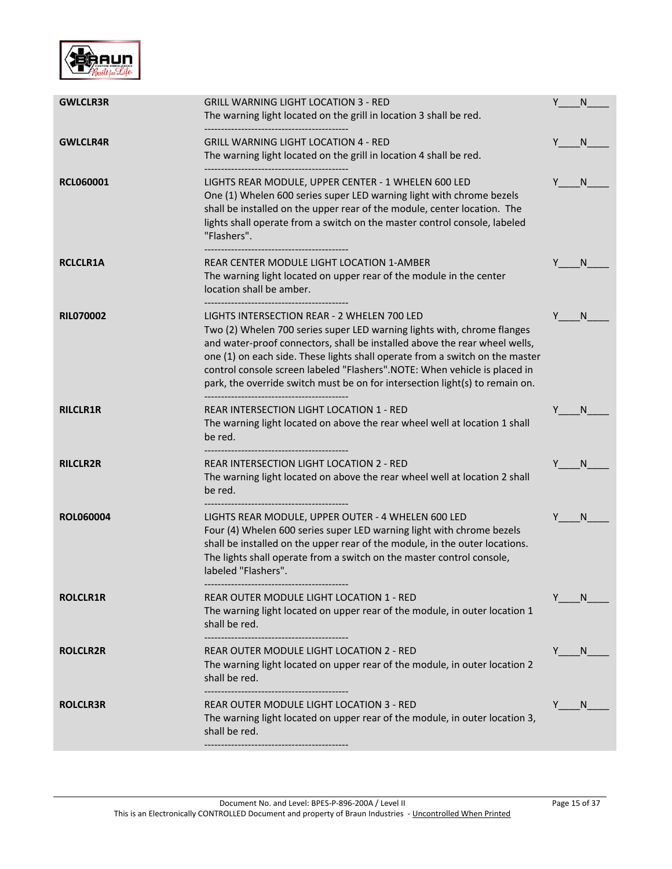

| <b>GWLCLR3R</b>  | <b>GRILL WARNING LIGHT LOCATION 3 - RED</b>                                                                                                               | Y   | N            |
|------------------|-----------------------------------------------------------------------------------------------------------------------------------------------------------|-----|--------------|
|                  | The warning light located on the grill in location 3 shall be red.                                                                                        |     |              |
| <b>GWLCLR4R</b>  | <b>GRILL WARNING LIGHT LOCATION 4 - RED</b>                                                                                                               | Y   | N.           |
|                  | The warning light located on the grill in location 4 shall be red.                                                                                        |     |              |
| <b>RCL060001</b> | LIGHTS REAR MODULE, UPPER CENTER - 1 WHELEN 600 LED                                                                                                       | Y   | N            |
|                  | One (1) Whelen 600 series super LED warning light with chrome bezels                                                                                      |     |              |
|                  | shall be installed on the upper rear of the module, center location. The                                                                                  |     |              |
|                  | lights shall operate from a switch on the master control console, labeled<br>"Flashers".                                                                  |     |              |
|                  |                                                                                                                                                           |     |              |
| <b>RCLCLR1A</b>  | REAR CENTER MODULE LIGHT LOCATION 1-AMBER                                                                                                                 |     | N            |
|                  | The warning light located on upper rear of the module in the center<br>location shall be amber.                                                           |     |              |
| <b>RIL070002</b> | LIGHTS INTERSECTION REAR - 2 WHELEN 700 LED                                                                                                               | Y   | <sup>N</sup> |
|                  | Two (2) Whelen 700 series super LED warning lights with, chrome flanges                                                                                   |     |              |
|                  | and water-proof connectors, shall be installed above the rear wheel wells,                                                                                |     |              |
|                  | one (1) on each side. These lights shall operate from a switch on the master<br>control console screen labeled "Flashers".NOTE: When vehicle is placed in |     |              |
|                  | park, the override switch must be on for intersection light(s) to remain on.                                                                              |     |              |
| <b>RILCLR1R</b>  | REAR INTERSECTION LIGHT LOCATION 1 - RED                                                                                                                  |     | N            |
|                  | The warning light located on above the rear wheel well at location 1 shall                                                                                |     |              |
|                  | be red.                                                                                                                                                   |     |              |
| <b>RILCLR2R</b>  | REAR INTERSECTION LIGHT LOCATION 2 - RED                                                                                                                  | Y   | <sub>N</sub> |
|                  | The warning light located on above the rear wheel well at location 2 shall                                                                                |     |              |
|                  | be red.                                                                                                                                                   |     |              |
| <b>ROL060004</b> | LIGHTS REAR MODULE, UPPER OUTER - 4 WHELEN 600 LED                                                                                                        |     | N            |
|                  | Four (4) Whelen 600 series super LED warning light with chrome bezels<br>shall be installed on the upper rear of the module, in the outer locations.      |     |              |
|                  | The lights shall operate from a switch on the master control console,                                                                                     |     |              |
|                  | labeled "Flashers".                                                                                                                                       |     |              |
| <b>ROLCLR1R</b>  | REAR OUTER MODULE LIGHT LOCATION 1 - RED                                                                                                                  | Y   | N.           |
|                  | The warning light located on upper rear of the module, in outer location 1                                                                                |     |              |
|                  | shall be red.                                                                                                                                             |     |              |
| <b>ROLCLR2R</b>  | <b>REAR OUTER MODULE LIGHT LOCATION 2 - RED</b>                                                                                                           | Y . | N.           |
|                  | The warning light located on upper rear of the module, in outer location 2                                                                                |     |              |
|                  | shall be red.                                                                                                                                             |     |              |
| <b>ROLCLR3R</b>  | REAR OUTER MODULE LIGHT LOCATION 3 - RED                                                                                                                  | Y   | N.           |
|                  | The warning light located on upper rear of the module, in outer location 3,                                                                               |     |              |
|                  | shall be red.                                                                                                                                             |     |              |
|                  |                                                                                                                                                           |     |              |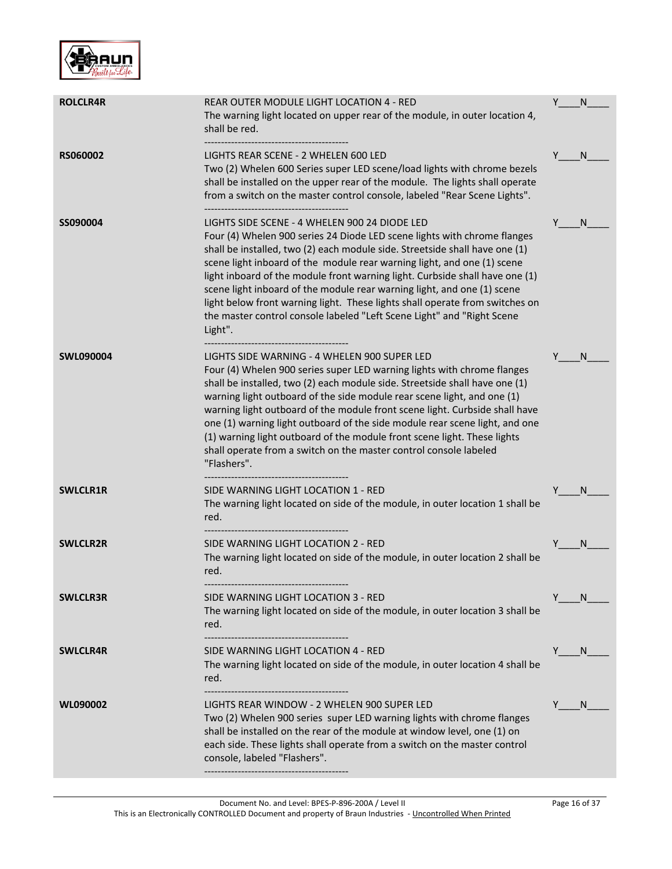

| <b>ROLCLR4R</b> | REAR OUTER MODULE LIGHT LOCATION 4 - RED<br>The warning light located on upper rear of the module, in outer location 4,<br>shall be red.                                                                                                                                                                                                                                                                                                                                                                                                                                                                            | Y | N            |
|-----------------|---------------------------------------------------------------------------------------------------------------------------------------------------------------------------------------------------------------------------------------------------------------------------------------------------------------------------------------------------------------------------------------------------------------------------------------------------------------------------------------------------------------------------------------------------------------------------------------------------------------------|---|--------------|
| <b>RS060002</b> | LIGHTS REAR SCENE - 2 WHELEN 600 LED<br>Two (2) Whelen 600 Series super LED scene/load lights with chrome bezels<br>shall be installed on the upper rear of the module. The lights shall operate<br>from a switch on the master control console, labeled "Rear Scene Lights".                                                                                                                                                                                                                                                                                                                                       |   | <sub>N</sub> |
| SS090004        | LIGHTS SIDE SCENE - 4 WHELEN 900 24 DIODE LED<br>Four (4) Whelen 900 series 24 Diode LED scene lights with chrome flanges<br>shall be installed, two (2) each module side. Streetside shall have one (1)<br>scene light inboard of the module rear warning light, and one (1) scene<br>light inboard of the module front warning light. Curbside shall have one (1)<br>scene light inboard of the module rear warning light, and one (1) scene<br>light below front warning light. These lights shall operate from switches on<br>the master control console labeled "Left Scene Light" and "Right Scene<br>Light". | Y | N            |
| SWL090004       | LIGHTS SIDE WARNING - 4 WHELEN 900 SUPER LED<br>Four (4) Whelen 900 series super LED warning lights with chrome flanges<br>shall be installed, two (2) each module side. Streetside shall have one (1)<br>warning light outboard of the side module rear scene light, and one (1)<br>warning light outboard of the module front scene light. Curbside shall have<br>one (1) warning light outboard of the side module rear scene light, and one<br>(1) warning light outboard of the module front scene light. These lights<br>shall operate from a switch on the master control console labeled<br>"Flashers".     | Y | N            |
| <b>SWLCLR1R</b> | SIDE WARNING LIGHT LOCATION 1 - RED<br>The warning light located on side of the module, in outer location 1 shall be<br>red.                                                                                                                                                                                                                                                                                                                                                                                                                                                                                        |   | N            |
| <b>SWLCLR2R</b> | SIDE WARNING LIGHT LOCATION 2 - RED<br>The warning light located on side of the module, in outer location 2 shall be<br>red.                                                                                                                                                                                                                                                                                                                                                                                                                                                                                        | Υ | N            |
| <b>SWLCLR3R</b> | SIDE WARNING LIGHT LOCATION 3 - RED<br>The warning light located on side of the module, in outer location 3 shall be<br>red.                                                                                                                                                                                                                                                                                                                                                                                                                                                                                        | Y | N            |
| <b>SWLCLR4R</b> | SIDE WARNING LIGHT LOCATION 4 - RED<br>The warning light located on side of the module, in outer location 4 shall be<br>red.                                                                                                                                                                                                                                                                                                                                                                                                                                                                                        | Y | <sub>N</sub> |
| WL090002        | LIGHTS REAR WINDOW - 2 WHELEN 900 SUPER LED<br>Two (2) Whelen 900 series super LED warning lights with chrome flanges<br>shall be installed on the rear of the module at window level, one (1) on<br>each side. These lights shall operate from a switch on the master control<br>console, labeled "Flashers".                                                                                                                                                                                                                                                                                                      | Y | N            |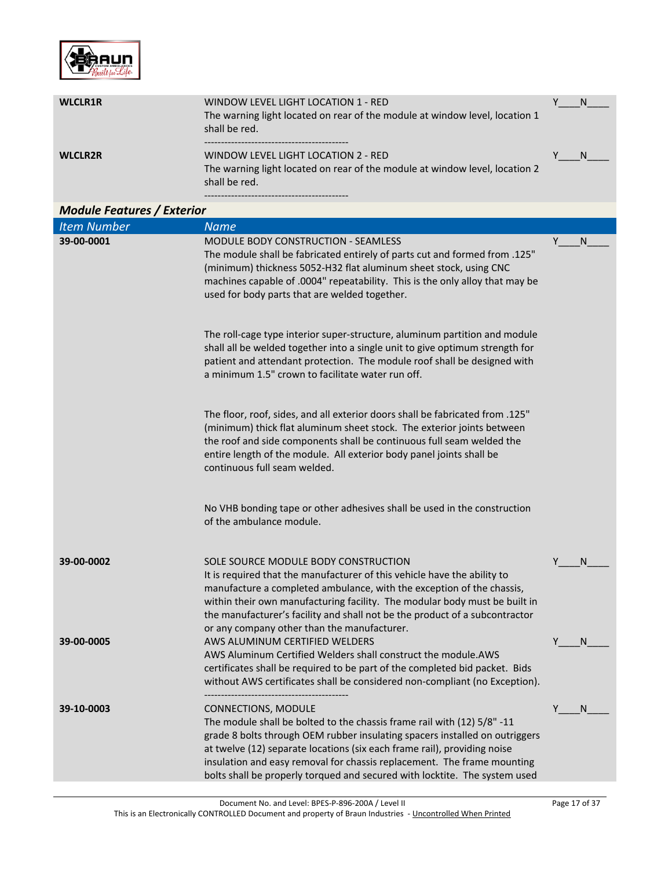

| <b>WLCLR1R</b> | WINDOW LEVEL LIGHT LOCATION 1 - RED<br>The warning light located on rear of the module at window level, location 1<br>shall be red. |  |
|----------------|-------------------------------------------------------------------------------------------------------------------------------------|--|
| <b>WLCLR2R</b> | WINDOW LEVEL LIGHT LOCATION 2 - RED<br>The warning light located on rear of the module at window level, location 2<br>shall be red. |  |

-------------------------------------------

| <b>Module Features / Exterior</b> |                                                                                                                                                                                                                                                                                                                                                                                                                           |    |              |
|-----------------------------------|---------------------------------------------------------------------------------------------------------------------------------------------------------------------------------------------------------------------------------------------------------------------------------------------------------------------------------------------------------------------------------------------------------------------------|----|--------------|
| <b>Item Number</b>                | <b>Name</b>                                                                                                                                                                                                                                                                                                                                                                                                               |    |              |
| 39-00-0001                        | <b>MODULE BODY CONSTRUCTION - SEAMLESS</b><br>The module shall be fabricated entirely of parts cut and formed from .125"<br>(minimum) thickness 5052-H32 flat aluminum sheet stock, using CNC<br>machines capable of .0004" repeatability. This is the only alloy that may be<br>used for body parts that are welded together.                                                                                            | Y. | N.           |
|                                   | The roll-cage type interior super-structure, aluminum partition and module<br>shall all be welded together into a single unit to give optimum strength for<br>patient and attendant protection. The module roof shall be designed with<br>a minimum 1.5" crown to facilitate water run off.                                                                                                                               |    |              |
|                                   | The floor, roof, sides, and all exterior doors shall be fabricated from .125"<br>(minimum) thick flat aluminum sheet stock. The exterior joints between<br>the roof and side components shall be continuous full seam welded the<br>entire length of the module. All exterior body panel joints shall be<br>continuous full seam welded.                                                                                  |    |              |
|                                   | No VHB bonding tape or other adhesives shall be used in the construction<br>of the ambulance module.                                                                                                                                                                                                                                                                                                                      |    |              |
| 39-00-0002                        | SOLE SOURCE MODULE BODY CONSTRUCTION<br>It is required that the manufacturer of this vehicle have the ability to<br>manufacture a completed ambulance, with the exception of the chassis,<br>within their own manufacturing facility. The modular body must be built in<br>the manufacturer's facility and shall not be the product of a subcontractor<br>or any company other than the manufacturer.                     | Y  | <sup>N</sup> |
| 39-00-0005                        | AWS ALUMINUM CERTIFIED WELDERS<br>AWS Aluminum Certified Welders shall construct the module.AWS<br>certificates shall be required to be part of the completed bid packet. Bids<br>without AWS certificates shall be considered non-compliant (no Exception).                                                                                                                                                              | Y  | N            |
| 39-10-0003                        | <b>CONNECTIONS, MODULE</b><br>The module shall be bolted to the chassis frame rail with (12) 5/8" -11<br>grade 8 bolts through OEM rubber insulating spacers installed on outriggers<br>at twelve (12) separate locations (six each frame rail), providing noise<br>insulation and easy removal for chassis replacement. The frame mounting<br>bolts shall be properly torqued and secured with locktite. The system used | Y  | N            |

Document No. and Level: BPES-P-896-200A / Level II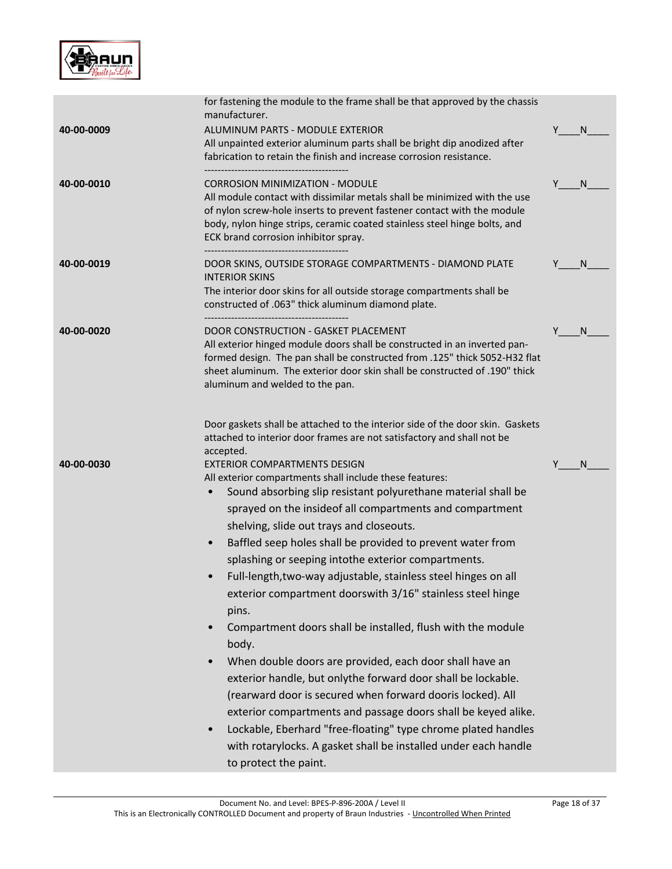

|            | for fastening the module to the frame shall be that approved by the chassis<br>manufacturer.                                                                                                                                                                                                                                                                                                                                                                                                                                                                                                                                                                                                                                                                                                                                                                                                                                                                       |    |   |
|------------|--------------------------------------------------------------------------------------------------------------------------------------------------------------------------------------------------------------------------------------------------------------------------------------------------------------------------------------------------------------------------------------------------------------------------------------------------------------------------------------------------------------------------------------------------------------------------------------------------------------------------------------------------------------------------------------------------------------------------------------------------------------------------------------------------------------------------------------------------------------------------------------------------------------------------------------------------------------------|----|---|
| 40-00-0009 | ALUMINUM PARTS - MODULE EXTERIOR<br>All unpainted exterior aluminum parts shall be bright dip anodized after<br>fabrication to retain the finish and increase corrosion resistance.                                                                                                                                                                                                                                                                                                                                                                                                                                                                                                                                                                                                                                                                                                                                                                                | Y  | N |
| 40-00-0010 | <b>CORROSION MINIMIZATION - MODULE</b><br>All module contact with dissimilar metals shall be minimized with the use<br>of nylon screw-hole inserts to prevent fastener contact with the module<br>body, nylon hinge strips, ceramic coated stainless steel hinge bolts, and<br>ECK brand corrosion inhibitor spray.                                                                                                                                                                                                                                                                                                                                                                                                                                                                                                                                                                                                                                                | Y. | N |
| 40-00-0019 | DOOR SKINS, OUTSIDE STORAGE COMPARTMENTS - DIAMOND PLATE<br><b>INTERIOR SKINS</b><br>The interior door skins for all outside storage compartments shall be<br>constructed of .063" thick aluminum diamond plate.<br>----------------------------------                                                                                                                                                                                                                                                                                                                                                                                                                                                                                                                                                                                                                                                                                                             |    | N |
| 40-00-0020 | DOOR CONSTRUCTION - GASKET PLACEMENT<br>All exterior hinged module doors shall be constructed in an inverted pan-<br>formed design. The pan shall be constructed from .125" thick 5052-H32 flat<br>sheet aluminum. The exterior door skin shall be constructed of .190" thick<br>aluminum and welded to the pan.                                                                                                                                                                                                                                                                                                                                                                                                                                                                                                                                                                                                                                                   | Y  | N |
|            | Door gaskets shall be attached to the interior side of the door skin. Gaskets<br>attached to interior door frames are not satisfactory and shall not be<br>accepted.                                                                                                                                                                                                                                                                                                                                                                                                                                                                                                                                                                                                                                                                                                                                                                                               |    |   |
| 40-00-0030 | <b>EXTERIOR COMPARTMENTS DESIGN</b><br>All exterior compartments shall include these features:<br>Sound absorbing slip resistant polyurethane material shall be<br>sprayed on the insideof all compartments and compartment<br>shelving, slide out trays and closeouts.<br>Baffled seep holes shall be provided to prevent water from<br>$\bullet$<br>splashing or seeping intothe exterior compartments.<br>Full-length, two-way adjustable, stainless steel hinges on all<br>exterior compartment doorswith 3/16" stainless steel hinge<br>pins.<br>Compartment doors shall be installed, flush with the module<br>body.<br>When double doors are provided, each door shall have an<br>exterior handle, but onlythe forward door shall be lockable.<br>(rearward door is secured when forward dooris locked). All<br>exterior compartments and passage doors shall be keyed alike.<br>Lockable, Eberhard "free-floating" type chrome plated handles<br>$\bullet$ |    | N |
|            | with rotarylocks. A gasket shall be installed under each handle<br>to protect the paint.                                                                                                                                                                                                                                                                                                                                                                                                                                                                                                                                                                                                                                                                                                                                                                                                                                                                           |    |   |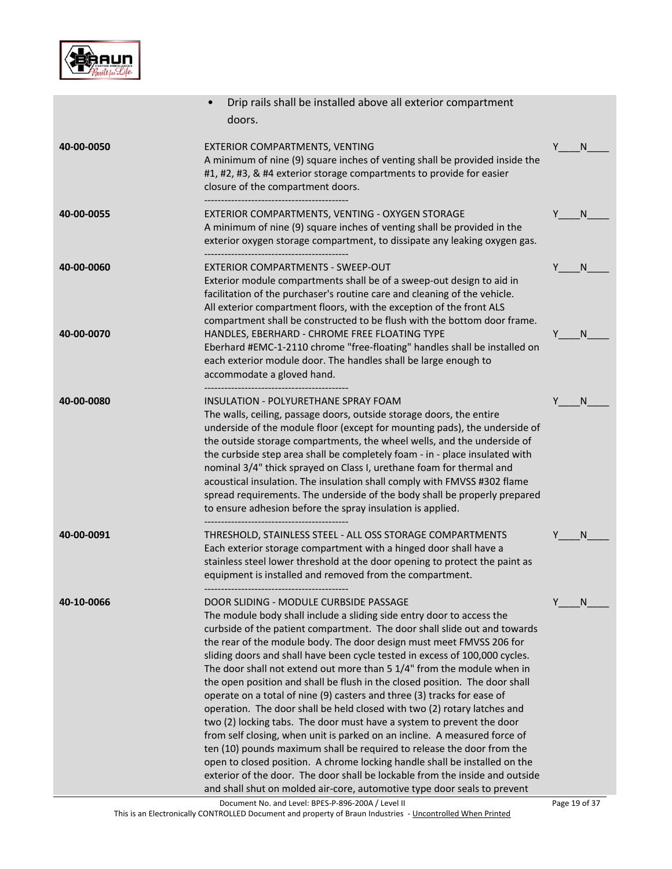

|            | Drip rails shall be installed above all exterior compartment<br>doors.                                                                                                                                                                                                                                                                                                                                                                                                                                                                                                                                                                                                                                                                                                                                                                                                                                                                                                                                                                                            |               |
|------------|-------------------------------------------------------------------------------------------------------------------------------------------------------------------------------------------------------------------------------------------------------------------------------------------------------------------------------------------------------------------------------------------------------------------------------------------------------------------------------------------------------------------------------------------------------------------------------------------------------------------------------------------------------------------------------------------------------------------------------------------------------------------------------------------------------------------------------------------------------------------------------------------------------------------------------------------------------------------------------------------------------------------------------------------------------------------|---------------|
| 40-00-0050 | EXTERIOR COMPARTMENTS, VENTING<br>A minimum of nine (9) square inches of venting shall be provided inside the<br>#1, #2, #3, & #4 exterior storage compartments to provide for easier<br>closure of the compartment doors.                                                                                                                                                                                                                                                                                                                                                                                                                                                                                                                                                                                                                                                                                                                                                                                                                                        | Y.<br>N       |
| 40-00-0055 | EXTERIOR COMPARTMENTS, VENTING - OXYGEN STORAGE<br>A minimum of nine (9) square inches of venting shall be provided in the<br>exterior oxygen storage compartment, to dissipate any leaking oxygen gas.                                                                                                                                                                                                                                                                                                                                                                                                                                                                                                                                                                                                                                                                                                                                                                                                                                                           | Y<br>N        |
| 40-00-0060 | EXTERIOR COMPARTMENTS - SWEEP-OUT<br>Exterior module compartments shall be of a sweep-out design to aid in<br>facilitation of the purchaser's routine care and cleaning of the vehicle.<br>All exterior compartment floors, with the exception of the front ALS<br>compartment shall be constructed to be flush with the bottom door frame.                                                                                                                                                                                                                                                                                                                                                                                                                                                                                                                                                                                                                                                                                                                       | Y<br>N        |
| 40-00-0070 | HANDLES, EBERHARD - CHROME FREE FLOATING TYPE<br>Eberhard #EMC-1-2110 chrome "free-floating" handles shall be installed on<br>each exterior module door. The handles shall be large enough to<br>accommodate a gloved hand.                                                                                                                                                                                                                                                                                                                                                                                                                                                                                                                                                                                                                                                                                                                                                                                                                                       | Y<br>N        |
| 40-00-0080 | INSULATION - POLYURETHANE SPRAY FOAM<br>The walls, ceiling, passage doors, outside storage doors, the entire<br>underside of the module floor (except for mounting pads), the underside of<br>the outside storage compartments, the wheel wells, and the underside of<br>the curbside step area shall be completely foam - in - place insulated with<br>nominal 3/4" thick sprayed on Class I, urethane foam for thermal and<br>acoustical insulation. The insulation shall comply with FMVSS #302 flame<br>spread requirements. The underside of the body shall be properly prepared<br>to ensure adhesion before the spray insulation is applied.                                                                                                                                                                                                                                                                                                                                                                                                               | Y<br>N        |
| 40-00-0091 | THRESHOLD, STAINLESS STEEL - ALL OSS STORAGE COMPARTMENTS<br>Each exterior storage compartment with a hinged door shall have a<br>stainless steel lower threshold at the door opening to protect the paint as<br>equipment is installed and removed from the compartment.                                                                                                                                                                                                                                                                                                                                                                                                                                                                                                                                                                                                                                                                                                                                                                                         | N             |
| 40-10-0066 | DOOR SLIDING - MODULE CURBSIDE PASSAGE<br>The module body shall include a sliding side entry door to access the<br>curbside of the patient compartment. The door shall slide out and towards<br>the rear of the module body. The door design must meet FMVSS 206 for<br>sliding doors and shall have been cycle tested in excess of 100,000 cycles.<br>The door shall not extend out more than 5 1/4" from the module when in<br>the open position and shall be flush in the closed position. The door shall<br>operate on a total of nine (9) casters and three (3) tracks for ease of<br>operation. The door shall be held closed with two (2) rotary latches and<br>two (2) locking tabs. The door must have a system to prevent the door<br>from self closing, when unit is parked on an incline. A measured force of<br>ten (10) pounds maximum shall be required to release the door from the<br>open to closed position. A chrome locking handle shall be installed on the<br>exterior of the door. The door shall be lockable from the inside and outside | Y<br>N        |
|            | and shall shut on molded air-core, automotive type door seals to prevent<br>Document No. and Level: BPES-P-896-200A / Level II                                                                                                                                                                                                                                                                                                                                                                                                                                                                                                                                                                                                                                                                                                                                                                                                                                                                                                                                    | Page 19 of 37 |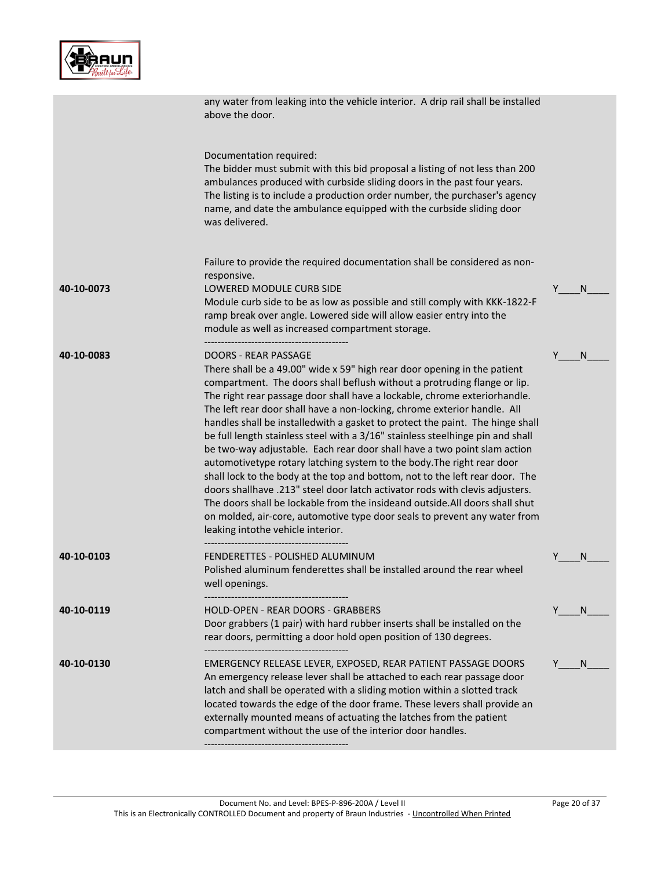

|            | any water from leaking into the vehicle interior. A drip rail shall be installed<br>above the door.                                                                                                                                                                                                                                                                                                                                                                                                                                                                                                                                                                                                                                                                                                                                                                                                                                                                                                                                                                           |   |    |
|------------|-------------------------------------------------------------------------------------------------------------------------------------------------------------------------------------------------------------------------------------------------------------------------------------------------------------------------------------------------------------------------------------------------------------------------------------------------------------------------------------------------------------------------------------------------------------------------------------------------------------------------------------------------------------------------------------------------------------------------------------------------------------------------------------------------------------------------------------------------------------------------------------------------------------------------------------------------------------------------------------------------------------------------------------------------------------------------------|---|----|
|            | Documentation required:<br>The bidder must submit with this bid proposal a listing of not less than 200<br>ambulances produced with curbside sliding doors in the past four years.<br>The listing is to include a production order number, the purchaser's agency<br>name, and date the ambulance equipped with the curbside sliding door<br>was delivered.                                                                                                                                                                                                                                                                                                                                                                                                                                                                                                                                                                                                                                                                                                                   |   |    |
|            | Failure to provide the required documentation shall be considered as non-<br>responsive.                                                                                                                                                                                                                                                                                                                                                                                                                                                                                                                                                                                                                                                                                                                                                                                                                                                                                                                                                                                      |   |    |
| 40-10-0073 | LOWERED MODULE CURB SIDE<br>Module curb side to be as low as possible and still comply with KKK-1822-F<br>ramp break over angle. Lowered side will allow easier entry into the<br>module as well as increased compartment storage.                                                                                                                                                                                                                                                                                                                                                                                                                                                                                                                                                                                                                                                                                                                                                                                                                                            | Y | N  |
| 40-10-0083 | ----------------------------------<br><b>DOORS - REAR PASSAGE</b><br>There shall be a 49.00" wide x 59" high rear door opening in the patient<br>compartment. The doors shall beflush without a protruding flange or lip.<br>The right rear passage door shall have a lockable, chrome exteriorhandle.<br>The left rear door shall have a non-locking, chrome exterior handle. All<br>handles shall be installedwith a gasket to protect the paint. The hinge shall<br>be full length stainless steel with a 3/16" stainless steelhinge pin and shall<br>be two-way adjustable. Each rear door shall have a two point slam action<br>automotivetype rotary latching system to the body. The right rear door<br>shall lock to the body at the top and bottom, not to the left rear door. The<br>doors shallhave .213" steel door latch activator rods with clevis adjusters.<br>The doors shall be lockable from the insideand outside. All doors shall shut<br>on molded, air-core, automotive type door seals to prevent any water from<br>leaking intothe vehicle interior. | Y | N  |
| 40-10-0103 | FENDERETTES - POLISHED ALUMINUM<br>Polished aluminum fenderettes shall be installed around the rear wheel<br>well openings.                                                                                                                                                                                                                                                                                                                                                                                                                                                                                                                                                                                                                                                                                                                                                                                                                                                                                                                                                   |   | N  |
| 40-10-0119 | HOLD-OPEN - REAR DOORS - GRABBERS<br>Door grabbers (1 pair) with hard rubber inserts shall be installed on the<br>rear doors, permitting a door hold open position of 130 degrees.                                                                                                                                                                                                                                                                                                                                                                                                                                                                                                                                                                                                                                                                                                                                                                                                                                                                                            | Y | N. |
| 40-10-0130 | EMERGENCY RELEASE LEVER, EXPOSED, REAR PATIENT PASSAGE DOORS<br>An emergency release lever shall be attached to each rear passage door<br>latch and shall be operated with a sliding motion within a slotted track<br>located towards the edge of the door frame. These levers shall provide an<br>externally mounted means of actuating the latches from the patient<br>compartment without the use of the interior door handles.                                                                                                                                                                                                                                                                                                                                                                                                                                                                                                                                                                                                                                            | Y | N. |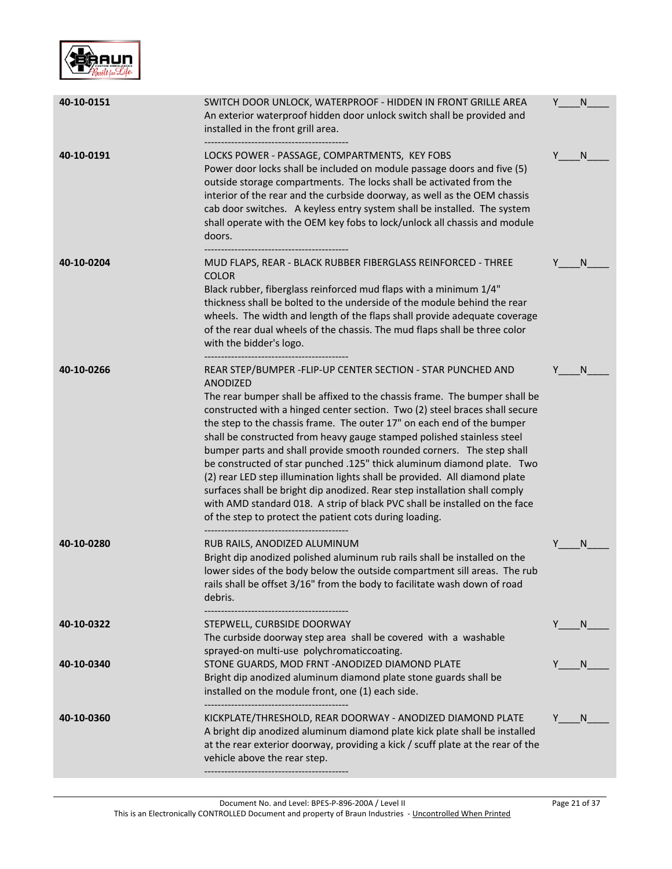

| 40-10-0151 | SWITCH DOOR UNLOCK, WATERPROOF - HIDDEN IN FRONT GRILLE AREA<br>An exterior waterproof hidden door unlock switch shall be provided and<br>installed in the front grill area.                                                                                                                                                                                                                                                                                                                                                                                                                                                                                                                                                                                                                                                                             | Y | N            |
|------------|----------------------------------------------------------------------------------------------------------------------------------------------------------------------------------------------------------------------------------------------------------------------------------------------------------------------------------------------------------------------------------------------------------------------------------------------------------------------------------------------------------------------------------------------------------------------------------------------------------------------------------------------------------------------------------------------------------------------------------------------------------------------------------------------------------------------------------------------------------|---|--------------|
| 40-10-0191 | LOCKS POWER - PASSAGE, COMPARTMENTS, KEY FOBS<br>Power door locks shall be included on module passage doors and five (5)<br>outside storage compartments. The locks shall be activated from the<br>interior of the rear and the curbside doorway, as well as the OEM chassis<br>cab door switches. A keyless entry system shall be installed. The system<br>shall operate with the OEM key fobs to lock/unlock all chassis and module<br>doors.                                                                                                                                                                                                                                                                                                                                                                                                          | Y | N            |
| 40-10-0204 | MUD FLAPS, REAR - BLACK RUBBER FIBERGLASS REINFORCED - THREE<br><b>COLOR</b><br>Black rubber, fiberglass reinforced mud flaps with a minimum 1/4"<br>thickness shall be bolted to the underside of the module behind the rear<br>wheels. The width and length of the flaps shall provide adequate coverage<br>of the rear dual wheels of the chassis. The mud flaps shall be three color<br>with the bidder's logo.                                                                                                                                                                                                                                                                                                                                                                                                                                      |   | N            |
| 40-10-0266 | REAR STEP/BUMPER - FLIP-UP CENTER SECTION - STAR PUNCHED AND<br><b>ANODIZED</b><br>The rear bumper shall be affixed to the chassis frame. The bumper shall be<br>constructed with a hinged center section. Two (2) steel braces shall secure<br>the step to the chassis frame. The outer 17" on each end of the bumper<br>shall be constructed from heavy gauge stamped polished stainless steel<br>bumper parts and shall provide smooth rounded corners. The step shall<br>be constructed of star punched .125" thick aluminum diamond plate. Two<br>(2) rear LED step illumination lights shall be provided. All diamond plate<br>surfaces shall be bright dip anodized. Rear step installation shall comply<br>with AMD standard 018. A strip of black PVC shall be installed on the face<br>of the step to protect the patient cots during loading. |   | N            |
| 40-10-0280 | RUB RAILS, ANODIZED ALUMINUM<br>Bright dip anodized polished aluminum rub rails shall be installed on the<br>lower sides of the body below the outside compartment sill areas. The rub<br>rails shall be offset 3/16" from the body to facilitate wash down of road<br>debris.                                                                                                                                                                                                                                                                                                                                                                                                                                                                                                                                                                           | Y | N            |
| 40-10-0322 | STEPWELL, CURBSIDE DOORWAY<br>The curbside doorway step area shall be covered with a washable<br>sprayed-on multi-use polychromaticcoating.                                                                                                                                                                                                                                                                                                                                                                                                                                                                                                                                                                                                                                                                                                              |   | <sub>N</sub> |
| 40-10-0340 | STONE GUARDS, MOD FRNT - ANODIZED DIAMOND PLATE<br>Bright dip anodized aluminum diamond plate stone guards shall be<br>installed on the module front, one (1) each side.                                                                                                                                                                                                                                                                                                                                                                                                                                                                                                                                                                                                                                                                                 |   | <sub>N</sub> |
| 40-10-0360 | KICKPLATE/THRESHOLD, REAR DOORWAY - ANODIZED DIAMOND PLATE<br>A bright dip anodized aluminum diamond plate kick plate shall be installed<br>at the rear exterior doorway, providing a kick / scuff plate at the rear of the<br>vehicle above the rear step.                                                                                                                                                                                                                                                                                                                                                                                                                                                                                                                                                                                              |   | N            |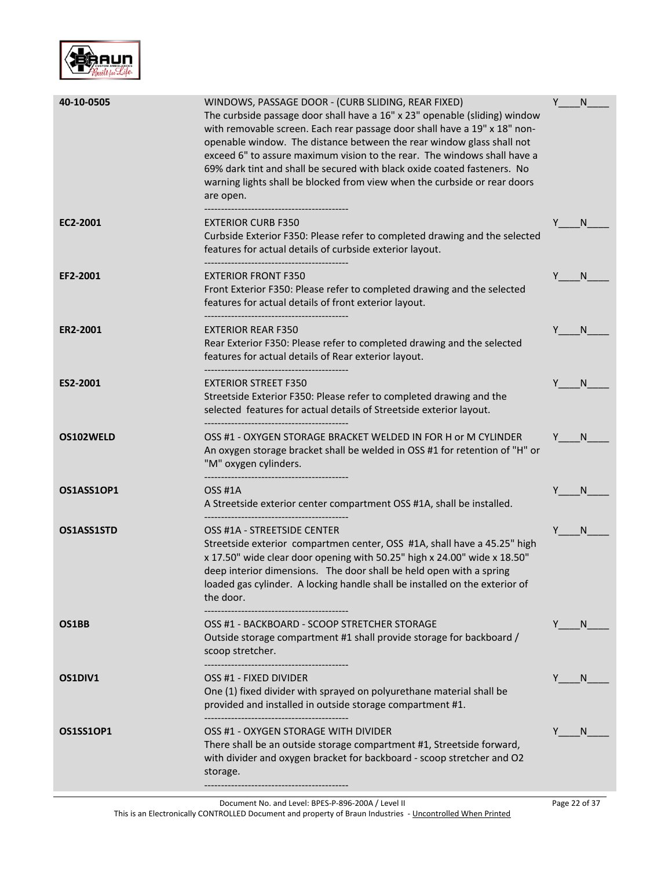

| 40-10-0505 | WINDOWS, PASSAGE DOOR - (CURB SLIDING, REAR FIXED)<br>The curbside passage door shall have a 16" x 23" openable (sliding) window<br>with removable screen. Each rear passage door shall have a 19" x 18" non-<br>openable window. The distance between the rear window glass shall not<br>exceed 6" to assure maximum vision to the rear. The windows shall have a<br>69% dark tint and shall be secured with black oxide coated fasteners. No<br>warning lights shall be blocked from view when the curbside or rear doors<br>are open. | Y | N            |
|------------|------------------------------------------------------------------------------------------------------------------------------------------------------------------------------------------------------------------------------------------------------------------------------------------------------------------------------------------------------------------------------------------------------------------------------------------------------------------------------------------------------------------------------------------|---|--------------|
| EC2-2001   | <b>EXTERIOR CURB F350</b><br>Curbside Exterior F350: Please refer to completed drawing and the selected<br>features for actual details of curbside exterior layout.                                                                                                                                                                                                                                                                                                                                                                      | Y | N.           |
| EF2-2001   | <b>EXTERIOR FRONT F350</b><br>Front Exterior F350: Please refer to completed drawing and the selected<br>features for actual details of front exterior layout.                                                                                                                                                                                                                                                                                                                                                                           |   | N            |
| ER2-2001   | <b>EXTERIOR REAR F350</b><br>Rear Exterior F350: Please refer to completed drawing and the selected<br>features for actual details of Rear exterior layout.<br>                                                                                                                                                                                                                                                                                                                                                                          |   | <sub>N</sub> |
| ES2-2001   | <b>EXTERIOR STREET F350</b><br>Streetside Exterior F350: Please refer to completed drawing and the<br>selected features for actual details of Streetside exterior layout.                                                                                                                                                                                                                                                                                                                                                                |   | <sub>N</sub> |
| OS102WELD  | OSS #1 - OXYGEN STORAGE BRACKET WELDED IN FOR H or M CYLINDER<br>An oxygen storage bracket shall be welded in OSS #1 for retention of "H" or<br>"M" oxygen cylinders.                                                                                                                                                                                                                                                                                                                                                                    | Y | N.           |
| OS1ASS1OP1 | <b>OSS #1A</b><br>A Streetside exterior center compartment OSS #1A, shall be installed.<br>-------------------------------                                                                                                                                                                                                                                                                                                                                                                                                               |   | N            |
| OS1ASS1STD | OSS #1A - STREETSIDE CENTER<br>Streetside exterior compartmen center, OSS #1A, shall have a 45.25" high<br>x 17.50" wide clear door opening with 50.25" high x 24.00" wide x 18.50"<br>deep interior dimensions. The door shall be held open with a spring<br>loaded gas cylinder. A locking handle shall be installed on the exterior of<br>the door.                                                                                                                                                                                   | Y | N.           |
| OS1BB      | OSS #1 - BACKBOARD - SCOOP STRETCHER STORAGE<br>Outside storage compartment #1 shall provide storage for backboard /<br>scoop stretcher.                                                                                                                                                                                                                                                                                                                                                                                                 | Y | N.           |
| OS1DIV1    | OSS #1 - FIXED DIVIDER<br>One (1) fixed divider with sprayed on polyurethane material shall be<br>provided and installed in outside storage compartment #1.                                                                                                                                                                                                                                                                                                                                                                              |   | <sub>N</sub> |
| OS1SS1OP1  | OSS #1 - OXYGEN STORAGE WITH DIVIDER<br>There shall be an outside storage compartment #1, Streetside forward,<br>with divider and oxygen bracket for backboard - scoop stretcher and O2<br>storage.                                                                                                                                                                                                                                                                                                                                      | Y | <sub>N</sub> |

This is an Electronically CONTROLLED Document and property of Braun Industries - Uncontrolled When Printed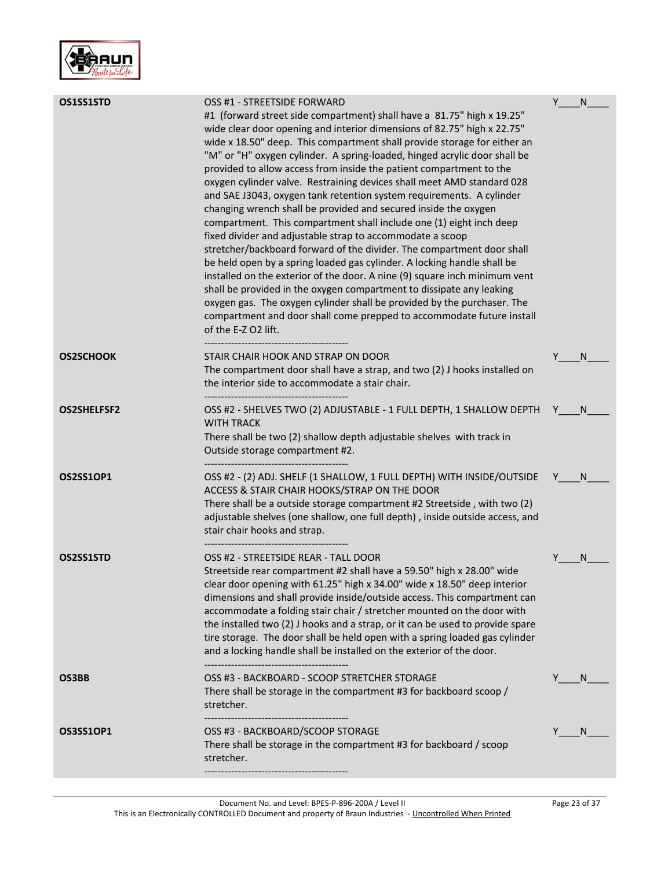

| OS1SS1STD          | OSS #1 - STREETSIDE FORWARD<br>#1 (forward street side compartment) shall have a 81.75" high x 19.25"<br>wide clear door opening and interior dimensions of 82.75" high x 22.75"<br>wide x 18.50" deep. This compartment shall provide storage for either an<br>"M" or "H" oxygen cylinder. A spring-loaded, hinged acrylic door shall be<br>provided to allow access from inside the patient compartment to the<br>oxygen cylinder valve. Restraining devices shall meet AMD standard 028<br>and SAE J3043, oxygen tank retention system requirements. A cylinder<br>changing wrench shall be provided and secured inside the oxygen<br>compartment. This compartment shall include one (1) eight inch deep<br>fixed divider and adjustable strap to accommodate a scoop<br>stretcher/backboard forward of the divider. The compartment door shall<br>be held open by a spring loaded gas cylinder. A locking handle shall be<br>installed on the exterior of the door. A nine (9) square inch minimum vent<br>shall be provided in the oxygen compartment to dissipate any leaking<br>oxygen gas. The oxygen cylinder shall be provided by the purchaser. The<br>compartment and door shall come prepped to accommodate future install<br>of the E-Z O2 lift. | Y | N            |
|--------------------|-----------------------------------------------------------------------------------------------------------------------------------------------------------------------------------------------------------------------------------------------------------------------------------------------------------------------------------------------------------------------------------------------------------------------------------------------------------------------------------------------------------------------------------------------------------------------------------------------------------------------------------------------------------------------------------------------------------------------------------------------------------------------------------------------------------------------------------------------------------------------------------------------------------------------------------------------------------------------------------------------------------------------------------------------------------------------------------------------------------------------------------------------------------------------------------------------------------------------------------------------------------------|---|--------------|
| <b>OS2SCHOOK</b>   | STAIR CHAIR HOOK AND STRAP ON DOOR<br>The compartment door shall have a strap, and two (2) J hooks installed on<br>the interior side to accommodate a stair chair.<br>-----------------------------------                                                                                                                                                                                                                                                                                                                                                                                                                                                                                                                                                                                                                                                                                                                                                                                                                                                                                                                                                                                                                                                       | Y | N.           |
| <b>OS2SHELFSF2</b> | OSS #2 - SHELVES TWO (2) ADJUSTABLE - 1 FULL DEPTH, 1 SHALLOW DEPTH Y<br><b>WITH TRACK</b><br>There shall be two (2) shallow depth adjustable shelves with track in<br>Outside storage compartment #2.<br>--------------------------------------                                                                                                                                                                                                                                                                                                                                                                                                                                                                                                                                                                                                                                                                                                                                                                                                                                                                                                                                                                                                                |   | N.           |
| <b>OS2SS1OP1</b>   | OSS #2 - (2) ADJ. SHELF (1 SHALLOW, 1 FULL DEPTH) WITH INSIDE/OUTSIDE<br>ACCESS & STAIR CHAIR HOOKS/STRAP ON THE DOOR<br>There shall be a outside storage compartment #2 Streetside, with two (2)<br>adjustable shelves (one shallow, one full depth), inside outside access, and<br>stair chair hooks and strap.                                                                                                                                                                                                                                                                                                                                                                                                                                                                                                                                                                                                                                                                                                                                                                                                                                                                                                                                               |   | - N          |
| OS2SS1STD          | OSS #2 - STREETSIDE REAR - TALL DOOR<br>Streetside rear compartment #2 shall have a 59.50" high x 28.00" wide<br>clear door opening with 61.25" high x 34.00" wide x 18.50" deep interior<br>dimensions and shall provide inside/outside access. This compartment can<br>accommodate a folding stair chair / stretcher mounted on the door with<br>the installed two (2) J hooks and a strap, or it can be used to provide spare<br>tire storage. The door shall be held open with a spring loaded gas cylinder<br>and a locking handle shall be installed on the exterior of the door.                                                                                                                                                                                                                                                                                                                                                                                                                                                                                                                                                                                                                                                                         | Y | N            |
| OS3BB              | OSS #3 - BACKBOARD - SCOOP STRETCHER STORAGE<br>There shall be storage in the compartment #3 for backboard scoop /<br>stretcher.                                                                                                                                                                                                                                                                                                                                                                                                                                                                                                                                                                                                                                                                                                                                                                                                                                                                                                                                                                                                                                                                                                                                |   | N.           |
| <b>OS3SS1OP1</b>   | OSS #3 - BACKBOARD/SCOOP STORAGE<br>There shall be storage in the compartment #3 for backboard / scoop<br>stretcher.                                                                                                                                                                                                                                                                                                                                                                                                                                                                                                                                                                                                                                                                                                                                                                                                                                                                                                                                                                                                                                                                                                                                            |   | <sub>N</sub> |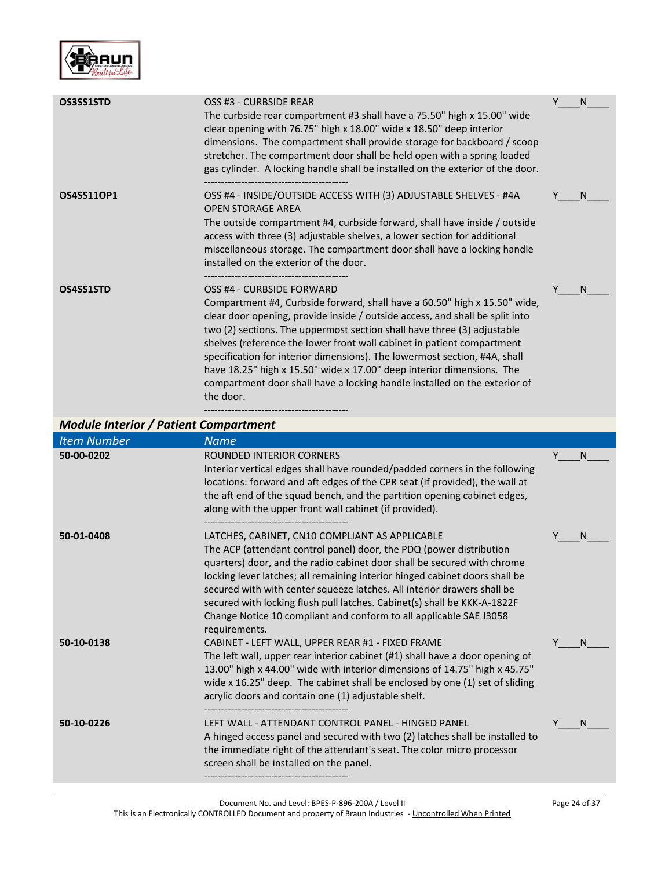

| OS3SS1STD                                    | OSS #3 - CURBSIDE REAR<br>The curbside rear compartment #3 shall have a 75.50" high x 15.00" wide<br>clear opening with 76.75" high x 18.00" wide x 18.50" deep interior<br>dimensions. The compartment shall provide storage for backboard / scoop<br>stretcher. The compartment door shall be held open with a spring loaded<br>gas cylinder. A locking handle shall be installed on the exterior of the door.                                                                                                                                                                            | Υ | N |
|----------------------------------------------|---------------------------------------------------------------------------------------------------------------------------------------------------------------------------------------------------------------------------------------------------------------------------------------------------------------------------------------------------------------------------------------------------------------------------------------------------------------------------------------------------------------------------------------------------------------------------------------------|---|---|
| <b>OS4SS11OP1</b>                            | OSS #4 - INSIDE/OUTSIDE ACCESS WITH (3) ADJUSTABLE SHELVES - #4A<br><b>OPEN STORAGE AREA</b><br>The outside compartment #4, curbside forward, shall have inside / outside<br>access with three (3) adjustable shelves, a lower section for additional<br>miscellaneous storage. The compartment door shall have a locking handle<br>installed on the exterior of the door.                                                                                                                                                                                                                  |   | N |
| OS4SS1STD                                    | OSS #4 - CURBSIDE FORWARD<br>Compartment #4, Curbside forward, shall have a 60.50" high x 15.50" wide,<br>clear door opening, provide inside / outside access, and shall be split into<br>two (2) sections. The uppermost section shall have three (3) adjustable<br>shelves (reference the lower front wall cabinet in patient compartment<br>specification for interior dimensions). The lowermost section, #4A, shall<br>have 18.25" high x 15.50" wide x 17.00" deep interior dimensions. The<br>compartment door shall have a locking handle installed on the exterior of<br>the door. | γ | N |
| <b>Module Interior / Patient Compartment</b> |                                                                                                                                                                                                                                                                                                                                                                                                                                                                                                                                                                                             |   |   |
| <b>Item Number</b>                           | <b>Name</b>                                                                                                                                                                                                                                                                                                                                                                                                                                                                                                                                                                                 |   |   |
| 50-00-0202                                   | <b>ROUNDED INTERIOR CORNERS</b><br>Interior vertical edges shall have rounded/padded corners in the following<br>locations: forward and aft edges of the CPR seat (if provided), the wall at<br>the aft end of the squad bench, and the partition opening cabinet edges,<br>along with the upper front wall cabinet (if provided).                                                                                                                                                                                                                                                          | Υ | N |

The ACP (attendant control panel) door, the PDQ (power distribution quarters) door, and the radio cabinet door shall be secured with chrome locking lever latches; all remaining interior hinged cabinet doors shall be secured with with center squeeze latches. All interior drawers shall be secured with locking flush pull latches. Cabinet(s) shall be KKK-A-1822F Change Notice 10 compliant and conform to all applicable SAE J3058

The left wall, upper rear interior cabinet (#1) shall have a door opening of 13.00" high x 44.00" wide with interior dimensions of 14.75" high x 45.75"

#### wide x 16.25" deep. The cabinet shall be enclosed by one (1) set of sliding acrylic doors and contain one (1) adjustable shelf.

**50-10-0138** CABINET - LEFT WALL, UPPER REAR #1 - FIXED FRAME

requirements.

-------------------------------------------

**50-01-0408** LATCHES, CABINET, CN10 COMPLIANT AS APPLICABLE

|            | activile doors and contain one (1) adjustable shell.                                                                               |  |
|------------|------------------------------------------------------------------------------------------------------------------------------------|--|
|            |                                                                                                                                    |  |
| 50-10-0226 | LEFT WALL - ATTENDANT CONTROL PANEL - HINGED PANEL<br>A hinged access panel and secured with two (2) latches shall be installed to |  |
|            | the immediate right of the attendant's seat. The color micro processor<br>screen shall be installed on the panel.                  |  |
|            |                                                                                                                                    |  |

 $\mathsf{N}$ 

 $N$ 

 $N_{\_}$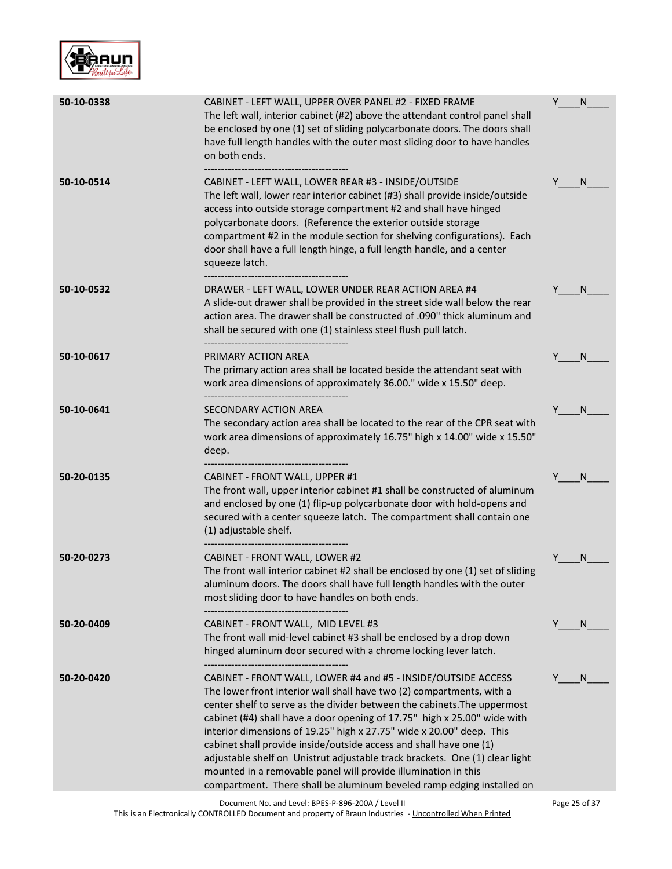

| 50-10-0338 | CABINET - LEFT WALL, UPPER OVER PANEL #2 - FIXED FRAME<br>The left wall, interior cabinet (#2) above the attendant control panel shall<br>be enclosed by one (1) set of sliding polycarbonate doors. The doors shall<br>have full length handles with the outer most sliding door to have handles<br>on both ends.                                                                                                                                                                                                                                                                                                                                                     | Y | N            |
|------------|------------------------------------------------------------------------------------------------------------------------------------------------------------------------------------------------------------------------------------------------------------------------------------------------------------------------------------------------------------------------------------------------------------------------------------------------------------------------------------------------------------------------------------------------------------------------------------------------------------------------------------------------------------------------|---|--------------|
| 50-10-0514 | CABINET - LEFT WALL, LOWER REAR #3 - INSIDE/OUTSIDE<br>The left wall, lower rear interior cabinet (#3) shall provide inside/outside<br>access into outside storage compartment #2 and shall have hinged<br>polycarbonate doors. (Reference the exterior outside storage<br>compartment #2 in the module section for shelving configurations). Each<br>door shall have a full length hinge, a full length handle, and a center<br>squeeze latch.<br>----------------------------------                                                                                                                                                                                  |   | N            |
| 50-10-0532 | DRAWER - LEFT WALL, LOWER UNDER REAR ACTION AREA #4<br>A slide-out drawer shall be provided in the street side wall below the rear<br>action area. The drawer shall be constructed of .090" thick aluminum and<br>shall be secured with one (1) stainless steel flush pull latch.                                                                                                                                                                                                                                                                                                                                                                                      |   | <sup>N</sup> |
| 50-10-0617 | PRIMARY ACTION AREA<br>The primary action area shall be located beside the attendant seat with<br>work area dimensions of approximately 36.00." wide x 15.50" deep.<br>---------------------------------                                                                                                                                                                                                                                                                                                                                                                                                                                                               |   | N            |
| 50-10-0641 | <b>SECONDARY ACTION AREA</b><br>The secondary action area shall be located to the rear of the CPR seat with<br>work area dimensions of approximately 16.75" high x 14.00" wide x 15.50"<br>deep.<br>-----------------------------------                                                                                                                                                                                                                                                                                                                                                                                                                                | Y | -N           |
| 50-20-0135 | CABINET - FRONT WALL, UPPER #1<br>The front wall, upper interior cabinet #1 shall be constructed of aluminum<br>and enclosed by one (1) flip-up polycarbonate door with hold-opens and<br>secured with a center squeeze latch. The compartment shall contain one<br>(1) adjustable shelf.                                                                                                                                                                                                                                                                                                                                                                              |   | N.           |
| 50-20-0273 | CABINET - FRONT WALL, LOWER #2<br>The front wall interior cabinet #2 shall be enclosed by one (1) set of sliding<br>aluminum doors. The doors shall have full length handles with the outer<br>most sliding door to have handles on both ends.                                                                                                                                                                                                                                                                                                                                                                                                                         |   | N            |
| 50-20-0409 | CABINET - FRONT WALL, MID LEVEL #3<br>The front wall mid-level cabinet #3 shall be enclosed by a drop down<br>hinged aluminum door secured with a chrome locking lever latch.                                                                                                                                                                                                                                                                                                                                                                                                                                                                                          | Y | N.           |
| 50-20-0420 | CABINET - FRONT WALL, LOWER #4 and #5 - INSIDE/OUTSIDE ACCESS<br>The lower front interior wall shall have two (2) compartments, with a<br>center shelf to serve as the divider between the cabinets. The uppermost<br>cabinet (#4) shall have a door opening of 17.75" high x 25.00" wide with<br>interior dimensions of 19.25" high x 27.75" wide x 20.00" deep. This<br>cabinet shall provide inside/outside access and shall have one (1)<br>adjustable shelf on Unistrut adjustable track brackets. One (1) clear light<br>mounted in a removable panel will provide illumination in this<br>compartment. There shall be aluminum beveled ramp edging installed on |   | N.           |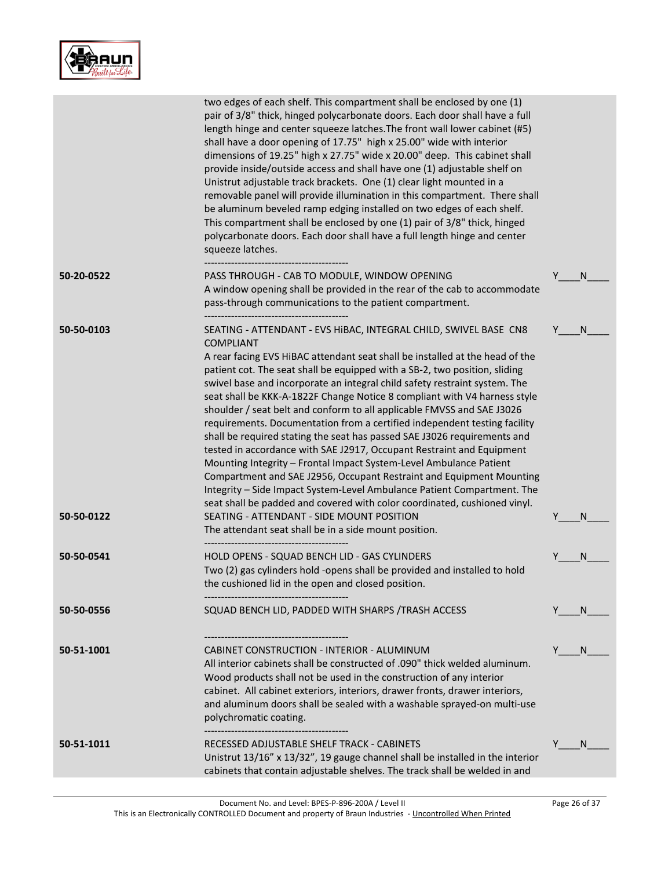

|            | two edges of each shelf. This compartment shall be enclosed by one (1)<br>pair of 3/8" thick, hinged polycarbonate doors. Each door shall have a full<br>length hinge and center squeeze latches. The front wall lower cabinet (#5)<br>shall have a door opening of 17.75" high x 25.00" wide with interior<br>dimensions of 19.25" high x 27.75" wide x 20.00" deep. This cabinet shall<br>provide inside/outside access and shall have one (1) adjustable shelf on<br>Unistrut adjustable track brackets. One (1) clear light mounted in a<br>removable panel will provide illumination in this compartment. There shall<br>be aluminum beveled ramp edging installed on two edges of each shelf.<br>This compartment shall be enclosed by one (1) pair of 3/8" thick, hinged<br>polycarbonate doors. Each door shall have a full length hinge and center<br>squeeze latches.                                                                                                                                                 |   |              |
|------------|---------------------------------------------------------------------------------------------------------------------------------------------------------------------------------------------------------------------------------------------------------------------------------------------------------------------------------------------------------------------------------------------------------------------------------------------------------------------------------------------------------------------------------------------------------------------------------------------------------------------------------------------------------------------------------------------------------------------------------------------------------------------------------------------------------------------------------------------------------------------------------------------------------------------------------------------------------------------------------------------------------------------------------|---|--------------|
| 50-20-0522 | PASS THROUGH - CAB TO MODULE, WINDOW OPENING<br>A window opening shall be provided in the rear of the cab to accommodate<br>pass-through communications to the patient compartment.                                                                                                                                                                                                                                                                                                                                                                                                                                                                                                                                                                                                                                                                                                                                                                                                                                             | Y | N            |
| 50-50-0103 | SEATING - ATTENDANT - EVS HIBAC, INTEGRAL CHILD, SWIVEL BASE CN8<br><b>COMPLIANT</b><br>A rear facing EVS HiBAC attendant seat shall be installed at the head of the<br>patient cot. The seat shall be equipped with a SB-2, two position, sliding<br>swivel base and incorporate an integral child safety restraint system. The<br>seat shall be KKK-A-1822F Change Notice 8 compliant with V4 harness style<br>shoulder / seat belt and conform to all applicable FMVSS and SAE J3026<br>requirements. Documentation from a certified independent testing facility<br>shall be required stating the seat has passed SAE J3026 requirements and<br>tested in accordance with SAE J2917, Occupant Restraint and Equipment<br>Mounting Integrity - Frontal Impact System-Level Ambulance Patient<br>Compartment and SAE J2956, Occupant Restraint and Equipment Mounting<br>Integrity - Side Impact System-Level Ambulance Patient Compartment. The<br>seat shall be padded and covered with color coordinated, cushioned vinyl. |   | N            |
| 50-50-0122 | SEATING - ATTENDANT - SIDE MOUNT POSITION<br>The attendant seat shall be in a side mount position.                                                                                                                                                                                                                                                                                                                                                                                                                                                                                                                                                                                                                                                                                                                                                                                                                                                                                                                              |   | N            |
| 50-50-0541 | HOLD OPENS - SQUAD BENCH LID - GAS CYLINDERS<br>Two (2) gas cylinders hold -opens shall be provided and installed to hold<br>the cushioned lid in the open and closed position.                                                                                                                                                                                                                                                                                                                                                                                                                                                                                                                                                                                                                                                                                                                                                                                                                                                 |   | N            |
| 50-50-0556 | SQUAD BENCH LID, PADDED WITH SHARPS / TRASH ACCESS                                                                                                                                                                                                                                                                                                                                                                                                                                                                                                                                                                                                                                                                                                                                                                                                                                                                                                                                                                              |   | <sub>N</sub> |
| 50-51-1001 | CABINET CONSTRUCTION - INTERIOR - ALUMINUM<br>All interior cabinets shall be constructed of .090" thick welded aluminum.<br>Wood products shall not be used in the construction of any interior<br>cabinet. All cabinet exteriors, interiors, drawer fronts, drawer interiors,<br>and aluminum doors shall be sealed with a washable sprayed-on multi-use<br>polychromatic coating.                                                                                                                                                                                                                                                                                                                                                                                                                                                                                                                                                                                                                                             |   | N            |
| 50-51-1011 | RECESSED ADJUSTABLE SHELF TRACK - CABINETS<br>Unistrut 13/16" x 13/32", 19 gauge channel shall be installed in the interior<br>cabinets that contain adjustable shelves. The track shall be welded in and                                                                                                                                                                                                                                                                                                                                                                                                                                                                                                                                                                                                                                                                                                                                                                                                                       |   | N            |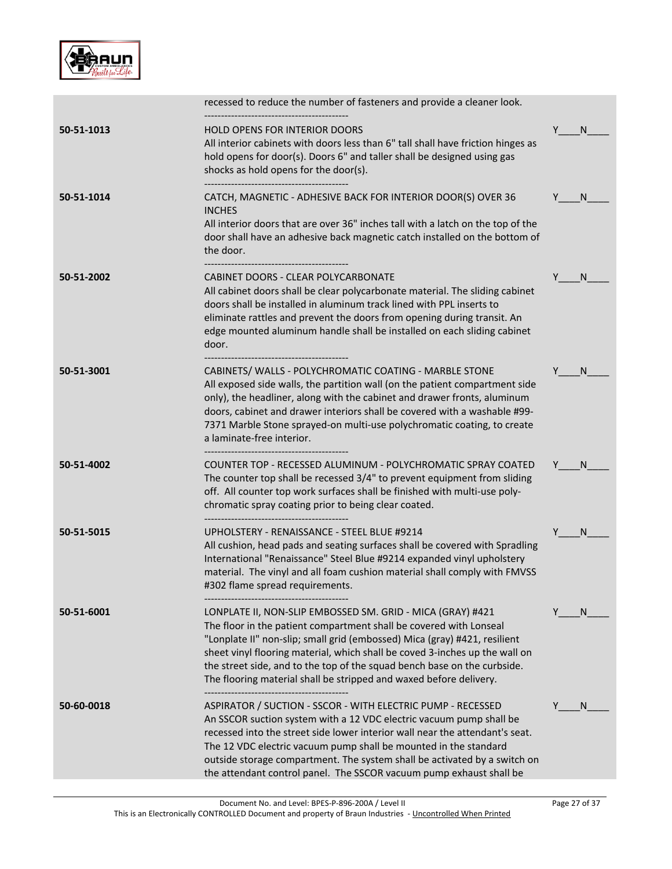

|            | recessed to reduce the number of fasteners and provide a cleaner look.                                                                                                                                                                                                                                                                                                                                                                         |         |
|------------|------------------------------------------------------------------------------------------------------------------------------------------------------------------------------------------------------------------------------------------------------------------------------------------------------------------------------------------------------------------------------------------------------------------------------------------------|---------|
| 50-51-1013 | <b>HOLD OPENS FOR INTERIOR DOORS</b><br>All interior cabinets with doors less than 6" tall shall have friction hinges as<br>hold opens for door(s). Doors 6" and taller shall be designed using gas<br>shocks as hold opens for the door(s).                                                                                                                                                                                                   | Y<br>N  |
| 50-51-1014 | CATCH, MAGNETIC - ADHESIVE BACK FOR INTERIOR DOOR(S) OVER 36<br><b>INCHES</b><br>All interior doors that are over 36" inches tall with a latch on the top of the<br>door shall have an adhesive back magnetic catch installed on the bottom of<br>the door.                                                                                                                                                                                    | N       |
| 50-51-2002 | CABINET DOORS - CLEAR POLYCARBONATE<br>All cabinet doors shall be clear polycarbonate material. The sliding cabinet<br>doors shall be installed in aluminum track lined with PPL inserts to<br>eliminate rattles and prevent the doors from opening during transit. An<br>edge mounted aluminum handle shall be installed on each sliding cabinet<br>door.                                                                                     | N.<br>Y |
| 50-51-3001 | CABINETS/ WALLS - POLYCHROMATIC COATING - MARBLE STONE<br>All exposed side walls, the partition wall (on the patient compartment side<br>only), the headliner, along with the cabinet and drawer fronts, aluminum<br>doors, cabinet and drawer interiors shall be covered with a washable #99-<br>7371 Marble Stone sprayed-on multi-use polychromatic coating, to create<br>a laminate-free interior.                                         | N       |
| 50-51-4002 | COUNTER TOP - RECESSED ALUMINUM - POLYCHROMATIC SPRAY COATED<br>The counter top shall be recessed 3/4" to prevent equipment from sliding<br>off. All counter top work surfaces shall be finished with multi-use poly-<br>chromatic spray coating prior to being clear coated.                                                                                                                                                                  | N       |
| 50-51-5015 | UPHOLSTERY - RENAISSANCE - STEEL BLUE #9214<br>All cushion, head pads and seating surfaces shall be covered with Spradling<br>International "Renaissance" Steel Blue #9214 expanded vinyl upholstery<br>material. The vinyl and all foam cushion material shall comply with FMVSS<br>#302 flame spread requirements.                                                                                                                           | N       |
| 50-51-6001 | LONPLATE II, NON-SLIP EMBOSSED SM. GRID - MICA (GRAY) #421<br>The floor in the patient compartment shall be covered with Lonseal<br>"Lonplate II" non-slip; small grid (embossed) Mica (gray) #421, resilient<br>sheet vinyl flooring material, which shall be coved 3-inches up the wall on<br>the street side, and to the top of the squad bench base on the curbside.<br>The flooring material shall be stripped and waxed before delivery. | N       |
| 50-60-0018 | ASPIRATOR / SUCTION - SSCOR - WITH ELECTRIC PUMP - RECESSED<br>An SSCOR suction system with a 12 VDC electric vacuum pump shall be<br>recessed into the street side lower interior wall near the attendant's seat.<br>The 12 VDC electric vacuum pump shall be mounted in the standard<br>outside storage compartment. The system shall be activated by a switch on<br>the attendant control panel. The SSCOR vacuum pump exhaust shall be     | N       |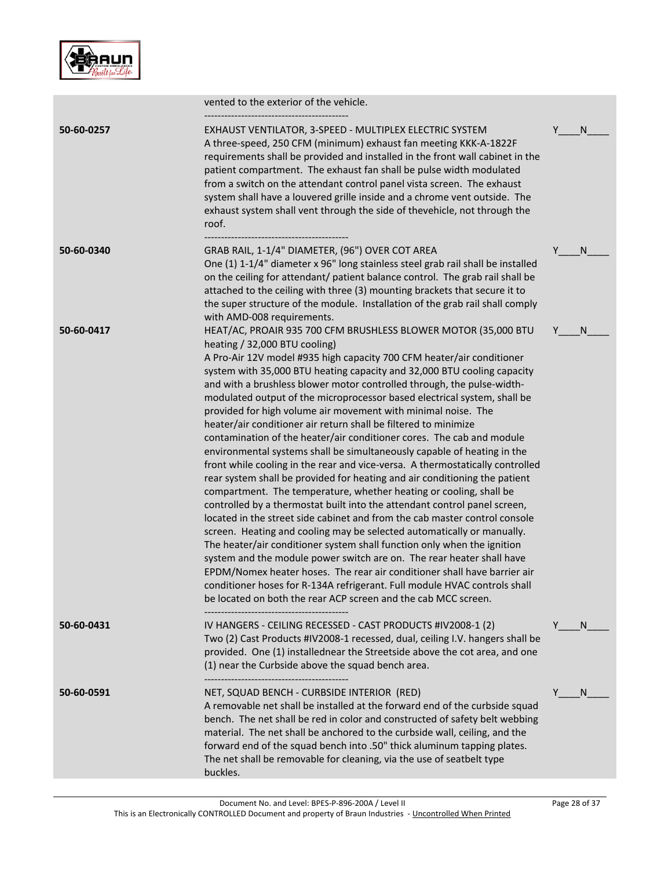

|            | vented to the exterior of the vehicle.                                                                                                                                                                                                                                                                                                                                                                                                                                                                                                                                                                                                                                                                                                                                                                                                                                                                                                                                                                                                                                                                                                                                                                                                                                                                                                                                                                                                                                                                                                                     |         |
|------------|------------------------------------------------------------------------------------------------------------------------------------------------------------------------------------------------------------------------------------------------------------------------------------------------------------------------------------------------------------------------------------------------------------------------------------------------------------------------------------------------------------------------------------------------------------------------------------------------------------------------------------------------------------------------------------------------------------------------------------------------------------------------------------------------------------------------------------------------------------------------------------------------------------------------------------------------------------------------------------------------------------------------------------------------------------------------------------------------------------------------------------------------------------------------------------------------------------------------------------------------------------------------------------------------------------------------------------------------------------------------------------------------------------------------------------------------------------------------------------------------------------------------------------------------------------|---------|
| 50-60-0257 | EXHAUST VENTILATOR, 3-SPEED - MULTIPLEX ELECTRIC SYSTEM<br>A three-speed, 250 CFM (minimum) exhaust fan meeting KKK-A-1822F<br>requirements shall be provided and installed in the front wall cabinet in the<br>patient compartment. The exhaust fan shall be pulse width modulated<br>from a switch on the attendant control panel vista screen. The exhaust<br>system shall have a louvered grille inside and a chrome vent outside. The<br>exhaust system shall vent through the side of thevehicle, not through the<br>roof.                                                                                                                                                                                                                                                                                                                                                                                                                                                                                                                                                                                                                                                                                                                                                                                                                                                                                                                                                                                                                           | N<br>Y  |
| 50-60-0340 | GRAB RAIL, 1-1/4" DIAMETER, (96") OVER COT AREA<br>One (1) 1-1/4" diameter x 96" long stainless steel grab rail shall be installed<br>on the ceiling for attendant/ patient balance control. The grab rail shall be<br>attached to the ceiling with three (3) mounting brackets that secure it to<br>the super structure of the module. Installation of the grab rail shall comply<br>with AMD-008 requirements.                                                                                                                                                                                                                                                                                                                                                                                                                                                                                                                                                                                                                                                                                                                                                                                                                                                                                                                                                                                                                                                                                                                                           | Y<br>N  |
| 50-60-0417 | HEAT/AC, PROAIR 935 700 CFM BRUSHLESS BLOWER MOTOR (35,000 BTU<br>heating / 32,000 BTU cooling)<br>A Pro-Air 12V model #935 high capacity 700 CFM heater/air conditioner<br>system with 35,000 BTU heating capacity and 32,000 BTU cooling capacity<br>and with a brushless blower motor controlled through, the pulse-width-<br>modulated output of the microprocessor based electrical system, shall be<br>provided for high volume air movement with minimal noise. The<br>heater/air conditioner air return shall be filtered to minimize<br>contamination of the heater/air conditioner cores. The cab and module<br>environmental systems shall be simultaneously capable of heating in the<br>front while cooling in the rear and vice-versa. A thermostatically controlled<br>rear system shall be provided for heating and air conditioning the patient<br>compartment. The temperature, whether heating or cooling, shall be<br>controlled by a thermostat built into the attendant control panel screen,<br>located in the street side cabinet and from the cab master control console<br>screen. Heating and cooling may be selected automatically or manually.<br>The heater/air conditioner system shall function only when the ignition<br>system and the module power switch are on. The rear heater shall have<br>EPDM/Nomex heater hoses. The rear air conditioner shall have barrier air<br>conditioner hoses for R-134A refrigerant. Full module HVAC controls shall<br>be located on both the rear ACP screen and the cab MCC screen. | Y<br>N  |
| 50-60-0431 | IV HANGERS - CEILING RECESSED - CAST PRODUCTS #IV2008-1 (2)<br>Two (2) Cast Products #IV2008-1 recessed, dual, ceiling I.V. hangers shall be<br>provided. One (1) installednear the Streetside above the cot area, and one<br>(1) near the Curbside above the squad bench area.                                                                                                                                                                                                                                                                                                                                                                                                                                                                                                                                                                                                                                                                                                                                                                                                                                                                                                                                                                                                                                                                                                                                                                                                                                                                            | Y<br>N. |
| 50-60-0591 | NET, SQUAD BENCH - CURBSIDE INTERIOR (RED)<br>A removable net shall be installed at the forward end of the curbside squad<br>bench. The net shall be red in color and constructed of safety belt webbing<br>material. The net shall be anchored to the curbside wall, ceiling, and the<br>forward end of the squad bench into .50" thick aluminum tapping plates.<br>The net shall be removable for cleaning, via the use of seatbelt type<br>buckles.                                                                                                                                                                                                                                                                                                                                                                                                                                                                                                                                                                                                                                                                                                                                                                                                                                                                                                                                                                                                                                                                                                     | N.      |
|            |                                                                                                                                                                                                                                                                                                                                                                                                                                                                                                                                                                                                                                                                                                                                                                                                                                                                                                                                                                                                                                                                                                                                                                                                                                                                                                                                                                                                                                                                                                                                                            |         |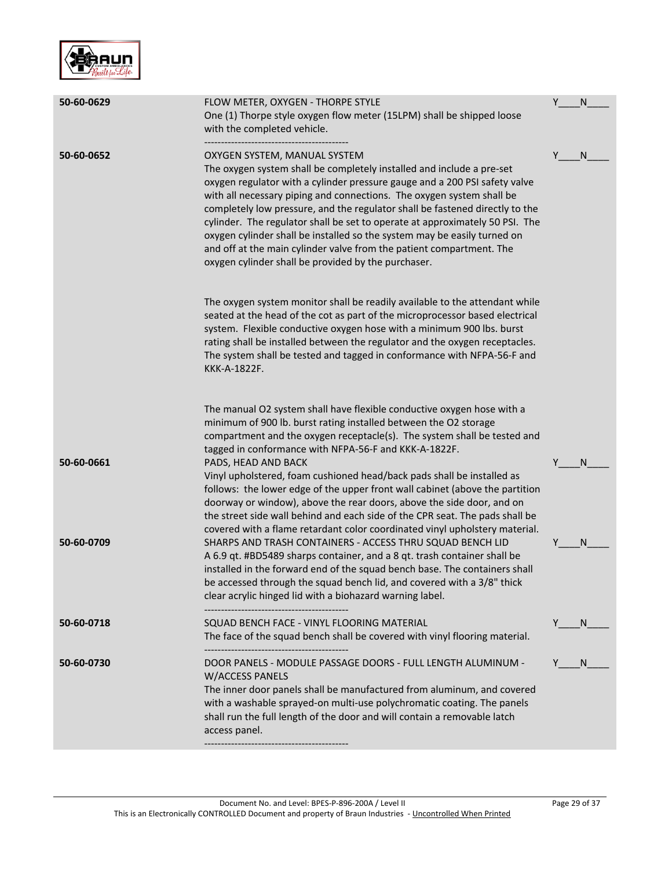

| 50-60-0629 | FLOW METER, OXYGEN - THORPE STYLE<br>One (1) Thorpe style oxygen flow meter (15LPM) shall be shipped loose<br>with the completed vehicle.                                                                                                                                                                                                                                                                                                                                                                                                                                                                                               | Y | N  |
|------------|-----------------------------------------------------------------------------------------------------------------------------------------------------------------------------------------------------------------------------------------------------------------------------------------------------------------------------------------------------------------------------------------------------------------------------------------------------------------------------------------------------------------------------------------------------------------------------------------------------------------------------------------|---|----|
| 50-60-0652 | OXYGEN SYSTEM, MANUAL SYSTEM<br>The oxygen system shall be completely installed and include a pre-set<br>oxygen regulator with a cylinder pressure gauge and a 200 PSI safety valve<br>with all necessary piping and connections. The oxygen system shall be<br>completely low pressure, and the regulator shall be fastened directly to the<br>cylinder. The regulator shall be set to operate at approximately 50 PSI. The<br>oxygen cylinder shall be installed so the system may be easily turned on<br>and off at the main cylinder valve from the patient compartment. The<br>oxygen cylinder shall be provided by the purchaser. | Y | N  |
|            | The oxygen system monitor shall be readily available to the attendant while<br>seated at the head of the cot as part of the microprocessor based electrical<br>system. Flexible conductive oxygen hose with a minimum 900 lbs. burst<br>rating shall be installed between the regulator and the oxygen receptacles.<br>The system shall be tested and tagged in conformance with NFPA-56-F and<br>KKK-A-1822F.                                                                                                                                                                                                                          |   |    |
| 50-60-0661 | The manual O2 system shall have flexible conductive oxygen hose with a<br>minimum of 900 lb. burst rating installed between the O2 storage<br>compartment and the oxygen receptacle(s). The system shall be tested and<br>tagged in conformance with NFPA-56-F and KKK-A-1822F.<br>PADS, HEAD AND BACK                                                                                                                                                                                                                                                                                                                                  |   | N  |
|            | Vinyl upholstered, foam cushioned head/back pads shall be installed as<br>follows: the lower edge of the upper front wall cabinet (above the partition<br>doorway or window), above the rear doors, above the side door, and on<br>the street side wall behind and each side of the CPR seat. The pads shall be<br>covered with a flame retardant color coordinated vinyl upholstery material.                                                                                                                                                                                                                                          |   |    |
| 50-60-0709 | SHARPS AND TRASH CONTAINERS - ACCESS THRU SQUAD BENCH LID<br>A 6.9 qt. #BD5489 sharps container, and a 8 qt. trash container shall be<br>installed in the forward end of the squad bench base. The containers shall<br>be accessed through the squad bench lid, and covered with a 3/8" thick<br>clear acrylic hinged lid with a biohazard warning label.<br>------------------------------                                                                                                                                                                                                                                             |   | N  |
| 50-60-0718 | SQUAD BENCH FACE - VINYL FLOORING MATERIAL<br>The face of the squad bench shall be covered with vinyl flooring material.<br>-------------------------------------                                                                                                                                                                                                                                                                                                                                                                                                                                                                       | Y | N. |
| 50-60-0730 | DOOR PANELS - MODULE PASSAGE DOORS - FULL LENGTH ALUMINUM -<br><b>W/ACCESS PANELS</b><br>The inner door panels shall be manufactured from aluminum, and covered<br>with a washable sprayed-on multi-use polychromatic coating. The panels<br>shall run the full length of the door and will contain a removable latch<br>access panel.                                                                                                                                                                                                                                                                                                  |   | N. |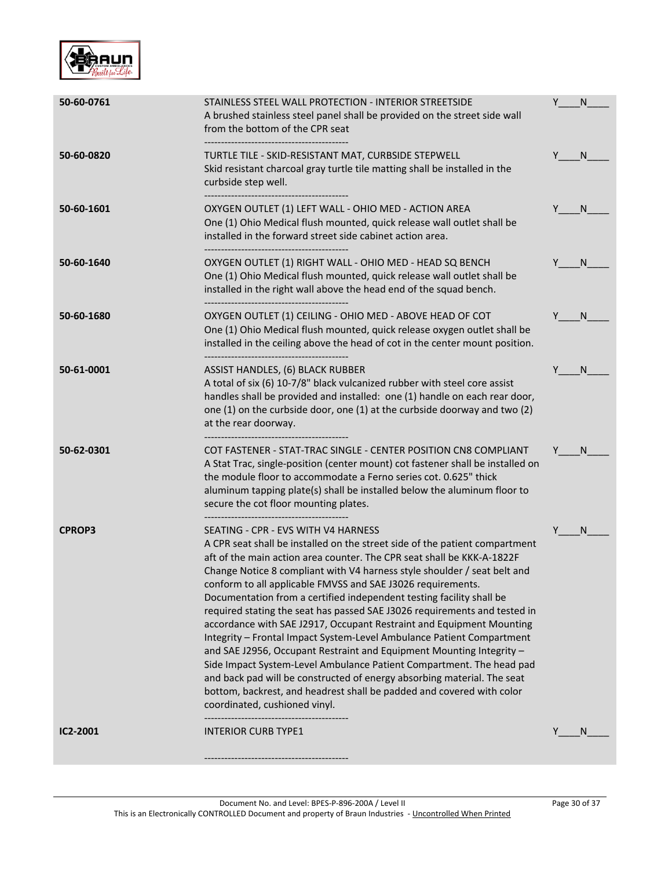

| 50-60-0761    | STAINLESS STEEL WALL PROTECTION - INTERIOR STREETSIDE<br>A brushed stainless steel panel shall be provided on the street side wall<br>from the bottom of the CPR seat                                                                                                                                                                                                                                                                                                                                                                                                                                                                                                                                                                                                                                                                                                                                                                                                              | Y | N            |
|---------------|------------------------------------------------------------------------------------------------------------------------------------------------------------------------------------------------------------------------------------------------------------------------------------------------------------------------------------------------------------------------------------------------------------------------------------------------------------------------------------------------------------------------------------------------------------------------------------------------------------------------------------------------------------------------------------------------------------------------------------------------------------------------------------------------------------------------------------------------------------------------------------------------------------------------------------------------------------------------------------|---|--------------|
| 50-60-0820    | TURTLE TILE - SKID-RESISTANT MAT, CURBSIDE STEPWELL<br>Skid resistant charcoal gray turtle tile matting shall be installed in the<br>curbside step well.                                                                                                                                                                                                                                                                                                                                                                                                                                                                                                                                                                                                                                                                                                                                                                                                                           |   | N.           |
| 50-60-1601    | OXYGEN OUTLET (1) LEFT WALL - OHIO MED - ACTION AREA<br>One (1) Ohio Medical flush mounted, quick release wall outlet shall be<br>installed in the forward street side cabinet action area.<br>---------------------------------                                                                                                                                                                                                                                                                                                                                                                                                                                                                                                                                                                                                                                                                                                                                                   |   | N.           |
| 50-60-1640    | OXYGEN OUTLET (1) RIGHT WALL - OHIO MED - HEAD SQ BENCH<br>One (1) Ohio Medical flush mounted, quick release wall outlet shall be<br>installed in the right wall above the head end of the squad bench.                                                                                                                                                                                                                                                                                                                                                                                                                                                                                                                                                                                                                                                                                                                                                                            |   | N.           |
| 50-60-1680    | OXYGEN OUTLET (1) CEILING - OHIO MED - ABOVE HEAD OF COT<br>One (1) Ohio Medical flush mounted, quick release oxygen outlet shall be<br>installed in the ceiling above the head of cot in the center mount position.                                                                                                                                                                                                                                                                                                                                                                                                                                                                                                                                                                                                                                                                                                                                                               |   | <sup>N</sup> |
| 50-61-0001    | ASSIST HANDLES, (6) BLACK RUBBER<br>A total of six (6) 10-7/8" black vulcanized rubber with steel core assist<br>handles shall be provided and installed: one (1) handle on each rear door,<br>one (1) on the curbside door, one (1) at the curbside doorway and two (2)<br>at the rear doorway.                                                                                                                                                                                                                                                                                                                                                                                                                                                                                                                                                                                                                                                                                   |   | <sup>N</sup> |
| 50-62-0301    | COT FASTENER - STAT-TRAC SINGLE - CENTER POSITION CN8 COMPLIANT<br>A Stat Trac, single-position (center mount) cot fastener shall be installed on<br>the module floor to accommodate a Ferno series cot. 0.625" thick<br>aluminum tapping plate(s) shall be installed below the aluminum floor to<br>secure the cot floor mounting plates.                                                                                                                                                                                                                                                                                                                                                                                                                                                                                                                                                                                                                                         |   | N            |
| <b>CPROP3</b> | SEATING - CPR - EVS WITH V4 HARNESS<br>A CPR seat shall be installed on the street side of the patient compartment<br>aft of the main action area counter. The CPR seat shall be KKK-A-1822F<br>Change Notice 8 compliant with V4 harness style shoulder / seat belt and<br>conform to all applicable FMVSS and SAE J3026 requirements.<br>Documentation from a certified independent testing facility shall be<br>required stating the seat has passed SAE J3026 requirements and tested in<br>accordance with SAE J2917, Occupant Restraint and Equipment Mounting<br>Integrity - Frontal Impact System-Level Ambulance Patient Compartment<br>and SAE J2956, Occupant Restraint and Equipment Mounting Integrity -<br>Side Impact System-Level Ambulance Patient Compartment. The head pad<br>and back pad will be constructed of energy absorbing material. The seat<br>bottom, backrest, and headrest shall be padded and covered with color<br>coordinated, cushioned vinyl. |   | N            |
| IC2-2001      | <b>INTERIOR CURB TYPE1</b>                                                                                                                                                                                                                                                                                                                                                                                                                                                                                                                                                                                                                                                                                                                                                                                                                                                                                                                                                         |   | <sup>N</sup> |
|               |                                                                                                                                                                                                                                                                                                                                                                                                                                                                                                                                                                                                                                                                                                                                                                                                                                                                                                                                                                                    |   |              |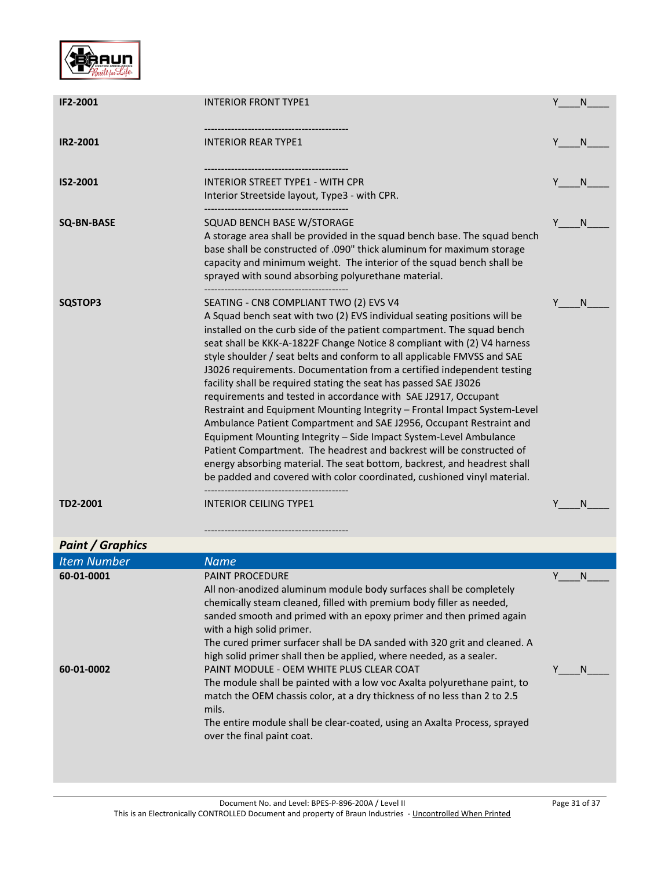

| IF2-2001                 | <b>INTERIOR FRONT TYPE1</b>                                                                                                                                                                                                                                                                                                                                                                                                                                                                                                                                                                                                                                                                                                                                                                                                                                                                                                                                                                                                | Y | <sub>N</sub>      |
|--------------------------|----------------------------------------------------------------------------------------------------------------------------------------------------------------------------------------------------------------------------------------------------------------------------------------------------------------------------------------------------------------------------------------------------------------------------------------------------------------------------------------------------------------------------------------------------------------------------------------------------------------------------------------------------------------------------------------------------------------------------------------------------------------------------------------------------------------------------------------------------------------------------------------------------------------------------------------------------------------------------------------------------------------------------|---|-------------------|
| <b>IR2-2001</b>          | INTERIOR REAR TYPE1                                                                                                                                                                                                                                                                                                                                                                                                                                                                                                                                                                                                                                                                                                                                                                                                                                                                                                                                                                                                        |   | N.                |
| IS2-2001                 | INTERIOR STREET TYPE1 - WITH CPR<br>Interior Streetside layout, Type3 - with CPR.                                                                                                                                                                                                                                                                                                                                                                                                                                                                                                                                                                                                                                                                                                                                                                                                                                                                                                                                          |   | <sup>N</sup>      |
| <b>SQ-BN-BASE</b>        | SQUAD BENCH BASE W/STORAGE<br>A storage area shall be provided in the squad bench base. The squad bench<br>base shall be constructed of .090" thick aluminum for maximum storage<br>capacity and minimum weight. The interior of the squad bench shall be<br>sprayed with sound absorbing polyurethane material.                                                                                                                                                                                                                                                                                                                                                                                                                                                                                                                                                                                                                                                                                                           |   | N                 |
| SQSTOP3                  | SEATING - CN8 COMPLIANT TWO (2) EVS V4<br>A Squad bench seat with two (2) EVS individual seating positions will be<br>installed on the curb side of the patient compartment. The squad bench<br>seat shall be KKK-A-1822F Change Notice 8 compliant with (2) V4 harness<br>style shoulder / seat belts and conform to all applicable FMVSS and SAE<br>J3026 requirements. Documentation from a certified independent testing<br>facility shall be required stating the seat has passed SAE J3026<br>requirements and tested in accordance with SAE J2917, Occupant<br>Restraint and Equipment Mounting Integrity - Frontal Impact System-Level<br>Ambulance Patient Compartment and SAE J2956, Occupant Restraint and<br>Equipment Mounting Integrity - Side Impact System-Level Ambulance<br>Patient Compartment. The headrest and backrest will be constructed of<br>energy absorbing material. The seat bottom, backrest, and headrest shall<br>be padded and covered with color coordinated, cushioned vinyl material. | Y | <sub>N</sub>      |
| TD2-2001                 | <b>INTERIOR CEILING TYPE1</b>                                                                                                                                                                                                                                                                                                                                                                                                                                                                                                                                                                                                                                                                                                                                                                                                                                                                                                                                                                                              |   | <sup>N</sup>      |
| <b>Paint / Graphics</b>  |                                                                                                                                                                                                                                                                                                                                                                                                                                                                                                                                                                                                                                                                                                                                                                                                                                                                                                                                                                                                                            |   |                   |
| <b>Item Number</b>       | <b>Name</b>                                                                                                                                                                                                                                                                                                                                                                                                                                                                                                                                                                                                                                                                                                                                                                                                                                                                                                                                                                                                                |   |                   |
| 60-01-0001<br>60-01-0002 | <b>PAINT PROCEDURE</b><br>All non-anodized aluminum module body surfaces shall be completely<br>chemically steam cleaned, filled with premium body filler as needed,<br>sanded smooth and primed with an epoxy primer and then primed again<br>with a high solid primer.<br>The cured primer surfacer shall be DA sanded with 320 grit and cleaned. A<br>high solid primer shall then be applied, where needed, as a sealer.<br>PAINT MODULE - OEM WHITE PLUS CLEAR COAT<br>The module shall be painted with a low voc Axalta polyurethane paint, to<br>match the OEM chassis color, at a dry thickness of no less than 2 to 2.5<br>mils.<br>The entire module shall be clear-coated, using an Axalta Process, sprayed<br>over the final paint coat.                                                                                                                                                                                                                                                                       | Y | N<br><sub>N</sub> |
|                          |                                                                                                                                                                                                                                                                                                                                                                                                                                                                                                                                                                                                                                                                                                                                                                                                                                                                                                                                                                                                                            |   |                   |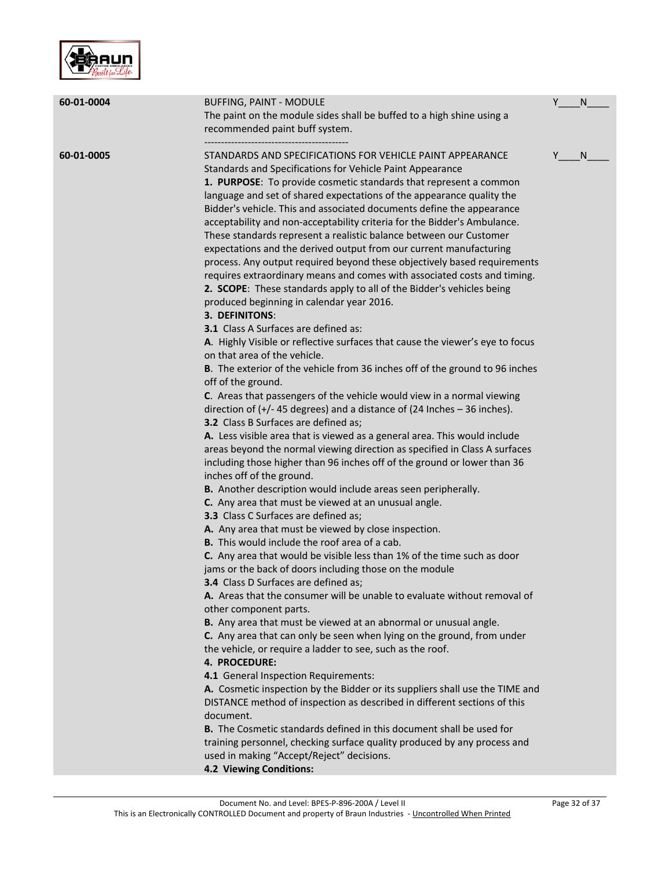

| 60-01-0004 | <b>BUFFING, PAINT - MODULE</b><br>The paint on the module sides shall be buffed to a high shine using a<br>recommended paint buff system.                                                                                                                                                                                                                                                                                                                                                                                                                                                                                                                                                                                                                                                                                                                                                                                                                                                                                                                                                                                                                                                                                                                                                                                                                                                                                                                                                                                                                                                                                                                                                                                                                                                                                                                                                                                                                                                                                                                                                                                                                                                                                                                                                                                                                                                                                                                                                                                                                                                                                                                                                                                                                                               | Y | N  |
|------------|-----------------------------------------------------------------------------------------------------------------------------------------------------------------------------------------------------------------------------------------------------------------------------------------------------------------------------------------------------------------------------------------------------------------------------------------------------------------------------------------------------------------------------------------------------------------------------------------------------------------------------------------------------------------------------------------------------------------------------------------------------------------------------------------------------------------------------------------------------------------------------------------------------------------------------------------------------------------------------------------------------------------------------------------------------------------------------------------------------------------------------------------------------------------------------------------------------------------------------------------------------------------------------------------------------------------------------------------------------------------------------------------------------------------------------------------------------------------------------------------------------------------------------------------------------------------------------------------------------------------------------------------------------------------------------------------------------------------------------------------------------------------------------------------------------------------------------------------------------------------------------------------------------------------------------------------------------------------------------------------------------------------------------------------------------------------------------------------------------------------------------------------------------------------------------------------------------------------------------------------------------------------------------------------------------------------------------------------------------------------------------------------------------------------------------------------------------------------------------------------------------------------------------------------------------------------------------------------------------------------------------------------------------------------------------------------------------------------------------------------------------------------------------------------|---|----|
| 60-01-0005 | STANDARDS AND SPECIFICATIONS FOR VEHICLE PAINT APPEARANCE<br>Standards and Specifications for Vehicle Paint Appearance<br>1. PURPOSE: To provide cosmetic standards that represent a common<br>language and set of shared expectations of the appearance quality the<br>Bidder's vehicle. This and associated documents define the appearance<br>acceptability and non-acceptability criteria for the Bidder's Ambulance.<br>These standards represent a realistic balance between our Customer<br>expectations and the derived output from our current manufacturing<br>process. Any output required beyond these objectively based requirements<br>requires extraordinary means and comes with associated costs and timing.<br>2. SCOPE: These standards apply to all of the Bidder's vehicles being<br>produced beginning in calendar year 2016.<br><b>3. DEFINITONS:</b><br>3.1 Class A Surfaces are defined as:<br>A. Highly Visible or reflective surfaces that cause the viewer's eye to focus<br>on that area of the vehicle.<br>B. The exterior of the vehicle from 36 inches off of the ground to 96 inches<br>off of the ground.<br>C. Areas that passengers of the vehicle would view in a normal viewing<br>direction of $(+/- 45$ degrees) and a distance of (24 Inches $-36$ inches).<br>3.2 Class B Surfaces are defined as;<br>A. Less visible area that is viewed as a general area. This would include<br>areas beyond the normal viewing direction as specified in Class A surfaces<br>including those higher than 96 inches off of the ground or lower than 36<br>inches off of the ground.<br>B. Another description would include areas seen peripherally.<br>C. Any area that must be viewed at an unusual angle.<br>3.3 Class C Surfaces are defined as;<br>A. Any area that must be viewed by close inspection.<br>B. This would include the roof area of a cab.<br>C. Any area that would be visible less than 1% of the time such as door<br>jams or the back of doors including those on the module<br><b>3.4</b> Class D Surfaces are defined as;<br>A. Areas that the consumer will be unable to evaluate without removal of<br>other component parts.<br>B. Any area that must be viewed at an abnormal or unusual angle.<br>C. Any area that can only be seen when lying on the ground, from under<br>the vehicle, or require a ladder to see, such as the roof.<br>4. PROCEDURE:<br>4.1 General Inspection Requirements:<br>A. Cosmetic inspection by the Bidder or its suppliers shall use the TIME and<br>DISTANCE method of inspection as described in different sections of this<br>document.<br>B. The Cosmetic standards defined in this document shall be used for<br>training personnel, checking surface quality produced by any process and | Y | N. |
|            | used in making "Accept/Reject" decisions.<br>4.2 Viewing Conditions:                                                                                                                                                                                                                                                                                                                                                                                                                                                                                                                                                                                                                                                                                                                                                                                                                                                                                                                                                                                                                                                                                                                                                                                                                                                                                                                                                                                                                                                                                                                                                                                                                                                                                                                                                                                                                                                                                                                                                                                                                                                                                                                                                                                                                                                                                                                                                                                                                                                                                                                                                                                                                                                                                                                    |   |    |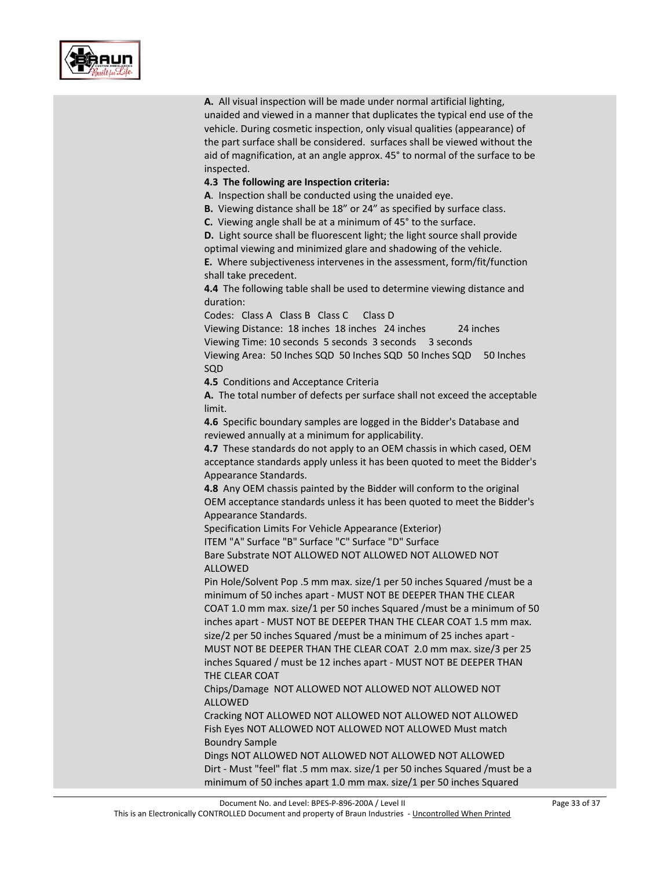

**A.** All visual inspection will be made under normal artificial lighting, unaided and viewed in a manner that duplicates the typical end use of the vehicle. During cosmetic inspection, only visual qualities (appearance) of the part surface shall be considered. surfaces shall be viewed without the aid of magnification, at an angle approx. 45° to normal of the surface to be inspected.

#### **4.3 The following are Inspection criteria:**

**A**. Inspection shall be conducted using the unaided eye.

**B.** Viewing distance shall be 18" or 24" as specified by surface class.

**C.** Viewing angle shall be at a minimum of 45° to the surface.

**D.** Light source shall be fluorescent light; the light source shall provide optimal viewing and minimized glare and shadowing of the vehicle.

**E.** Where subjectiveness intervenes in the assessment, form/fit/function shall take precedent.

**4.4** The following table shall be used to determine viewing distance and duration:

Codes: Class A Class B Class C Class D

Viewing Distance: 18 inches 18 inches 24 inches 24 inches Viewing Time: 10 seconds 5 seconds 3 seconds 3 seconds Viewing Area: 50 Inches SQD 50 Inches SQD 50 Inches SQD 50 Inches

SQD

**4.5** Conditions and Acceptance Criteria

**A.** The total number of defects per surface shall not exceed the acceptable limit.

**4.6** Specific boundary samples are logged in the Bidder's Database and reviewed annually at a minimum for applicability.

**4.7** These standards do not apply to an OEM chassis in which cased, OEM acceptance standards apply unless it has been quoted to meet the Bidder's Appearance Standards.

**4.8** Any OEM chassis painted by the Bidder will conform to the original OEM acceptance standards unless it has been quoted to meet the Bidder's Appearance Standards.

Specification Limits For Vehicle Appearance (Exterior) ITEM "A" Surface "B" Surface "C" Surface "D" Surface

Bare Substrate NOT ALLOWED NOT ALLOWED NOT ALLOWED NOT ALLOWED

Pin Hole/Solvent Pop .5 mm max. size/1 per 50 inches Squared /must be a minimum of 50 inches apart - MUST NOT BE DEEPER THAN THE CLEAR COAT 1.0 mm max. size/1 per 50 inches Squared /must be a minimum of 50 inches apart - MUST NOT BE DEEPER THAN THE CLEAR COAT 1.5 mm max. size/2 per 50 inches Squared /must be a minimum of 25 inches apart - MUST NOT BE DEEPER THAN THE CLEAR COAT 2.0 mm max. size/3 per 25 inches Squared / must be 12 inches apart - MUST NOT BE DEEPER THAN THE CLEAR COAT

Chips/Damage NOT ALLOWED NOT ALLOWED NOT ALLOWED NOT ALLOWED

Cracking NOT ALLOWED NOT ALLOWED NOT ALLOWED NOT ALLOWED Fish Eyes NOT ALLOWED NOT ALLOWED NOT ALLOWED Must match Boundry Sample

Dings NOT ALLOWED NOT ALLOWED NOT ALLOWED NOT ALLOWED Dirt - Must "feel" flat .5 mm max. size/1 per 50 inches Squared /must be a minimum of 50 inches apart 1.0 mm max. size/1 per 50 inches Squared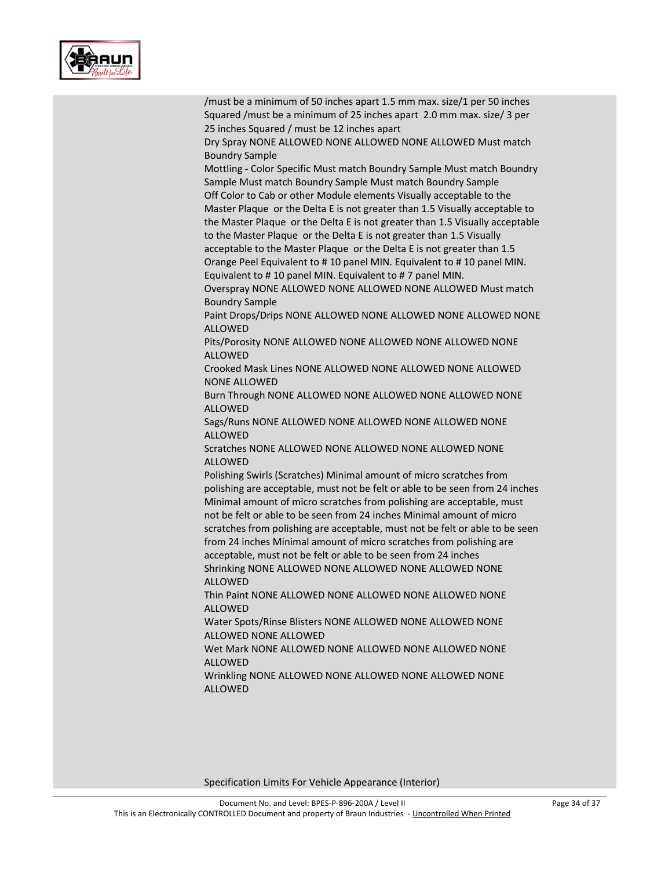

| /must be a minimum of 50 inches apart 1.5 mm max. size/1 per 50 inches<br>Squared /must be a minimum of 25 inches apart 2.0 mm max. size/ 3 per                                                                                                                                                                                                                                                                                                              |
|--------------------------------------------------------------------------------------------------------------------------------------------------------------------------------------------------------------------------------------------------------------------------------------------------------------------------------------------------------------------------------------------------------------------------------------------------------------|
| 25 inches Squared / must be 12 inches apart<br>Dry Spray NONE ALLOWED NONE ALLOWED NONE ALLOWED Must match                                                                                                                                                                                                                                                                                                                                                   |
| <b>Boundry Sample</b><br>Mottling - Color Specific Must match Boundry Sample Must match Boundry                                                                                                                                                                                                                                                                                                                                                              |
| Sample Must match Boundry Sample Must match Boundry Sample<br>Off Color to Cab or other Module elements Visually acceptable to the                                                                                                                                                                                                                                                                                                                           |
| Master Plaque or the Delta E is not greater than 1.5 Visually acceptable to<br>the Master Plaque or the Delta E is not greater than 1.5 Visually acceptable<br>to the Master Plaque or the Delta E is not greater than 1.5 Visually                                                                                                                                                                                                                          |
| acceptable to the Master Plaque or the Delta E is not greater than 1.5<br>Orange Peel Equivalent to #10 panel MIN. Equivalent to #10 panel MIN.                                                                                                                                                                                                                                                                                                              |
| Equivalent to #10 panel MIN. Equivalent to #7 panel MIN.<br>Overspray NONE ALLOWED NONE ALLOWED NONE ALLOWED Must match                                                                                                                                                                                                                                                                                                                                      |
| <b>Boundry Sample</b><br>Paint Drops/Drips NONE ALLOWED NONE ALLOWED NONE ALLOWED NONE<br><b>ALLOWED</b>                                                                                                                                                                                                                                                                                                                                                     |
| Pits/Porosity NONE ALLOWED NONE ALLOWED NONE ALLOWED NONE<br><b>ALLOWED</b>                                                                                                                                                                                                                                                                                                                                                                                  |
| Crooked Mask Lines NONE ALLOWED NONE ALLOWED NONE ALLOWED<br><b>NONE ALLOWED</b>                                                                                                                                                                                                                                                                                                                                                                             |
| Burn Through NONE ALLOWED NONE ALLOWED NONE ALLOWED NONE<br><b>ALLOWED</b>                                                                                                                                                                                                                                                                                                                                                                                   |
| Sags/Runs NONE ALLOWED NONE ALLOWED NONE ALLOWED NONE<br><b>ALLOWED</b>                                                                                                                                                                                                                                                                                                                                                                                      |
| Scratches NONE ALLOWED NONE ALLOWED NONE ALLOWED NONE<br><b>ALLOWED</b>                                                                                                                                                                                                                                                                                                                                                                                      |
| Polishing Swirls (Scratches) Minimal amount of micro scratches from<br>polishing are acceptable, must not be felt or able to be seen from 24 inches<br>Minimal amount of micro scratches from polishing are acceptable, must<br>not be felt or able to be seen from 24 inches Minimal amount of micro<br>scratches from polishing are acceptable, must not be felt or able to be seen<br>from 24 inches Minimal amount of micro scratches from polishing are |
| acceptable, must not be felt or able to be seen from 24 inches<br>Shrinking NONE ALLOWED NONE ALLOWED NONE ALLOWED NONE<br><b>ALLOWED</b>                                                                                                                                                                                                                                                                                                                    |
| Thin Paint NONE ALLOWED NONE ALLOWED NONE ALLOWED NONE<br><b>ALLOWED</b>                                                                                                                                                                                                                                                                                                                                                                                     |
| Water Spots/Rinse Blisters NONE ALLOWED NONE ALLOWED NONE<br>ALLOWED NONE ALLOWED                                                                                                                                                                                                                                                                                                                                                                            |
| Wet Mark NONE ALLOWED NONE ALLOWED NONE ALLOWED NONE<br><b>ALLOWED</b>                                                                                                                                                                                                                                                                                                                                                                                       |
| Wrinkling NONE ALLOWED NONE ALLOWED NONE ALLOWED NONE<br><b>ALLOWED</b>                                                                                                                                                                                                                                                                                                                                                                                      |

Specification Limits For Vehicle Appearance (Interior)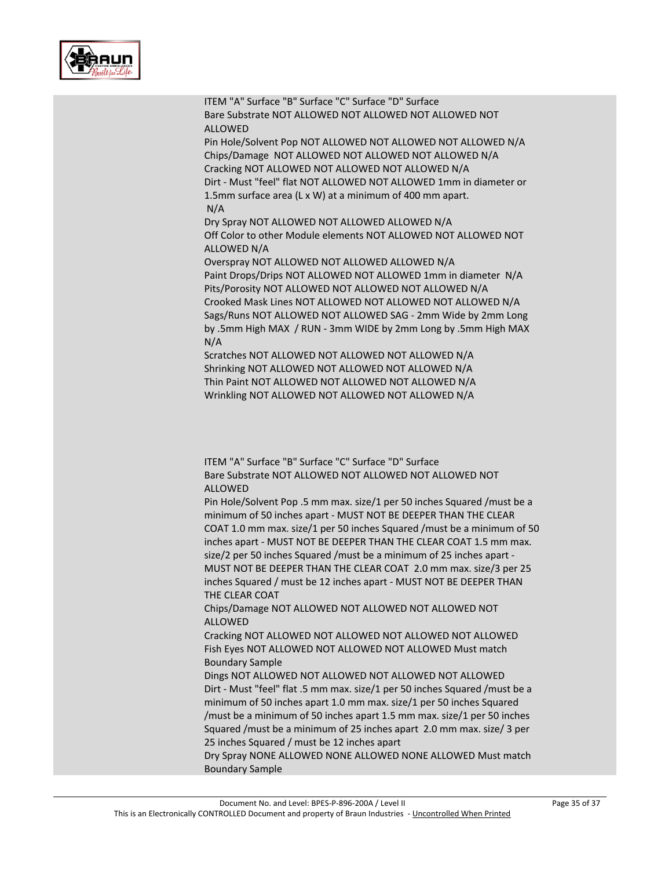

ITEM "A" Surface "B" Surface "C" Surface "D" Surface Bare Substrate NOT ALLOWED NOT ALLOWED NOT ALLOWED NOT ALLOWED Pin Hole/Solvent Pop NOT ALLOWED NOT ALLOWED NOT ALLOWED N/A

Chips/Damage NOT ALLOWED NOT ALLOWED NOT ALLOWED N/A Cracking NOT ALLOWED NOT ALLOWED NOT ALLOWED N/A Dirt - Must "feel" flat NOT ALLOWED NOT ALLOWED 1mm in diameter or 1.5mm surface area (L x W) at a minimum of 400 mm apart. N/A

Dry Spray NOT ALLOWED NOT ALLOWED ALLOWED N/A Off Color to other Module elements NOT ALLOWED NOT ALLOWED NOT ALLOWED N/A

Overspray NOT ALLOWED NOT ALLOWED ALLOWED N/A Paint Drops/Drips NOT ALLOWED NOT ALLOWED 1mm in diameter N/A Pits/Porosity NOT ALLOWED NOT ALLOWED NOT ALLOWED N/A Crooked Mask Lines NOT ALLOWED NOT ALLOWED NOT ALLOWED N/A Sags/Runs NOT ALLOWED NOT ALLOWED SAG - 2mm Wide by 2mm Long by .5mm High MAX / RUN - 3mm WIDE by 2mm Long by .5mm High MAX N/A

Scratches NOT ALLOWED NOT ALLOWED NOT ALLOWED N/A Shrinking NOT ALLOWED NOT ALLOWED NOT ALLOWED N/A Thin Paint NOT ALLOWED NOT ALLOWED NOT ALLOWED N/A Wrinkling NOT ALLOWED NOT ALLOWED NOT ALLOWED N/A

ITEM "A" Surface "B" Surface "C" Surface "D" Surface Bare Substrate NOT ALLOWED NOT ALLOWED NOT ALLOWED NOT ALLOWED

Pin Hole/Solvent Pop .5 mm max. size/1 per 50 inches Squared /must be a minimum of 50 inches apart - MUST NOT BE DEEPER THAN THE CLEAR COAT 1.0 mm max. size/1 per 50 inches Squared /must be a minimum of 50 inches apart - MUST NOT BE DEEPER THAN THE CLEAR COAT 1.5 mm max. size/2 per 50 inches Squared /must be a minimum of 25 inches apart - MUST NOT BE DEEPER THAN THE CLEAR COAT 2.0 mm max. size/3 per 25 inches Squared / must be 12 inches apart - MUST NOT BE DEEPER THAN THE CLEAR COAT

Chips/Damage NOT ALLOWED NOT ALLOWED NOT ALLOWED NOT ALLOWED

Cracking NOT ALLOWED NOT ALLOWED NOT ALLOWED NOT ALLOWED Fish Eyes NOT ALLOWED NOT ALLOWED NOT ALLOWED Must match Boundary Sample

Dings NOT ALLOWED NOT ALLOWED NOT ALLOWED NOT ALLOWED Dirt - Must "feel" flat .5 mm max. size/1 per 50 inches Squared /must be a minimum of 50 inches apart 1.0 mm max. size/1 per 50 inches Squared /must be a minimum of 50 inches apart 1.5 mm max. size/1 per 50 inches Squared /must be a minimum of 25 inches apart 2.0 mm max. size/ 3 per 25 inches Squared / must be 12 inches apart

Dry Spray NONE ALLOWED NONE ALLOWED NONE ALLOWED Must match Boundary Sample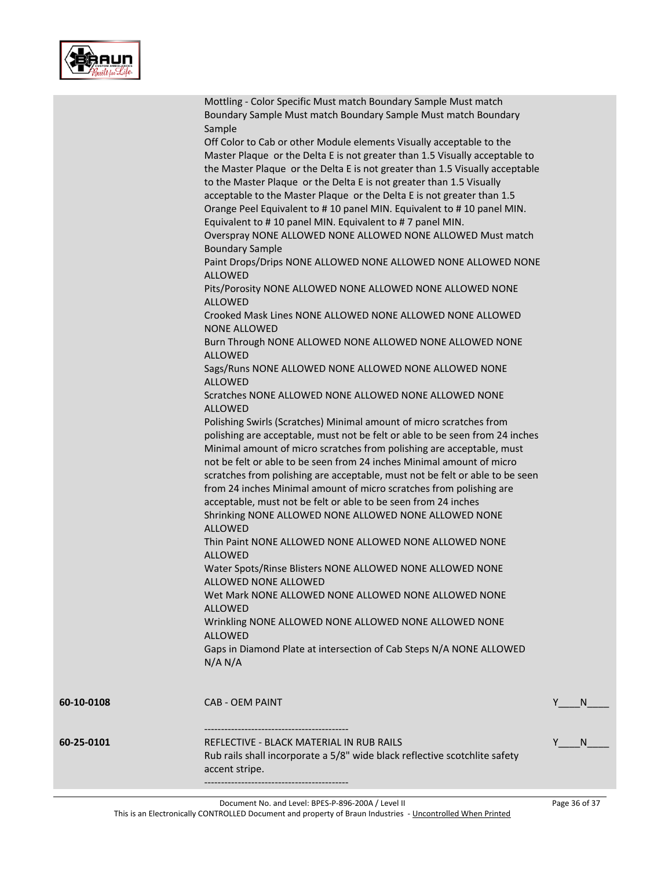

|            | Mottling - Color Specific Must match Boundary Sample Must match                                                                                      |         |  |
|------------|------------------------------------------------------------------------------------------------------------------------------------------------------|---------|--|
|            | Boundary Sample Must match Boundary Sample Must match Boundary                                                                                       |         |  |
|            | Sample                                                                                                                                               |         |  |
|            | Off Color to Cab or other Module elements Visually acceptable to the                                                                                 |         |  |
|            | Master Plaque or the Delta E is not greater than 1.5 Visually acceptable to                                                                          |         |  |
|            | the Master Plaque or the Delta E is not greater than 1.5 Visually acceptable<br>to the Master Plaque or the Delta E is not greater than 1.5 Visually |         |  |
|            | acceptable to the Master Plaque or the Delta E is not greater than 1.5                                                                               |         |  |
|            | Orange Peel Equivalent to #10 panel MIN. Equivalent to #10 panel MIN.                                                                                |         |  |
|            | Equivalent to #10 panel MIN. Equivalent to #7 panel MIN.                                                                                             |         |  |
|            | Overspray NONE ALLOWED NONE ALLOWED NONE ALLOWED Must match                                                                                          |         |  |
|            | <b>Boundary Sample</b>                                                                                                                               |         |  |
|            | Paint Drops/Drips NONE ALLOWED NONE ALLOWED NONE ALLOWED NONE                                                                                        |         |  |
|            | <b>ALLOWED</b>                                                                                                                                       |         |  |
|            | Pits/Porosity NONE ALLOWED NONE ALLOWED NONE ALLOWED NONE                                                                                            |         |  |
|            | <b>ALLOWED</b>                                                                                                                                       |         |  |
|            | Crooked Mask Lines NONE ALLOWED NONE ALLOWED NONE ALLOWED                                                                                            |         |  |
|            | <b>NONE ALLOWED</b>                                                                                                                                  |         |  |
|            | Burn Through NONE ALLOWED NONE ALLOWED NONE ALLOWED NONE                                                                                             |         |  |
|            | <b>ALLOWED</b>                                                                                                                                       |         |  |
|            | Sags/Runs NONE ALLOWED NONE ALLOWED NONE ALLOWED NONE                                                                                                |         |  |
|            | <b>ALLOWED</b>                                                                                                                                       |         |  |
|            | Scratches NONE ALLOWED NONE ALLOWED NONE ALLOWED NONE                                                                                                |         |  |
|            | <b>ALLOWED</b>                                                                                                                                       |         |  |
|            | Polishing Swirls (Scratches) Minimal amount of micro scratches from                                                                                  |         |  |
|            | polishing are acceptable, must not be felt or able to be seen from 24 inches                                                                         |         |  |
|            | Minimal amount of micro scratches from polishing are acceptable, must                                                                                |         |  |
|            | not be felt or able to be seen from 24 inches Minimal amount of micro                                                                                |         |  |
|            | scratches from polishing are acceptable, must not be felt or able to be seen                                                                         |         |  |
|            | from 24 inches Minimal amount of micro scratches from polishing are                                                                                  |         |  |
|            | acceptable, must not be felt or able to be seen from 24 inches                                                                                       |         |  |
|            | Shrinking NONE ALLOWED NONE ALLOWED NONE ALLOWED NONE                                                                                                |         |  |
|            | <b>ALLOWED</b>                                                                                                                                       |         |  |
|            | Thin Paint NONE ALLOWED NONE ALLOWED NONE ALLOWED NONE                                                                                               |         |  |
|            | <b>ALLOWED</b>                                                                                                                                       |         |  |
|            | Water Spots/Rinse Blisters NONE ALLOWED NONE ALLOWED NONE                                                                                            |         |  |
|            | ALLOWED NONE ALLOWED                                                                                                                                 |         |  |
|            | Wet Mark NONE ALLOWED NONE ALLOWED NONE ALLOWED NONE                                                                                                 |         |  |
|            | <b>ALLOWED</b>                                                                                                                                       |         |  |
|            | Wrinkling NONE ALLOWED NONE ALLOWED NONE ALLOWED NONE                                                                                                |         |  |
|            | <b>ALLOWED</b>                                                                                                                                       |         |  |
|            | Gaps in Diamond Plate at intersection of Cab Steps N/A NONE ALLOWED                                                                                  |         |  |
|            | N/A N/A                                                                                                                                              |         |  |
|            |                                                                                                                                                      |         |  |
| 60-10-0108 | <b>CAB - OEM PAINT</b>                                                                                                                               | Y<br>N. |  |
|            |                                                                                                                                                      |         |  |
| 60-25-0101 | REFLECTIVE - BLACK MATERIAL IN RUB RAILS                                                                                                             | Y<br>N. |  |
|            | Rub rails shall incorporate a 5/8" wide black reflective scotchlite safety                                                                           |         |  |
|            | accent stripe.                                                                                                                                       |         |  |
|            |                                                                                                                                                      |         |  |

This is an Electronically CONTROLLED Document and property of Braun Industries - Uncontrolled When Printed